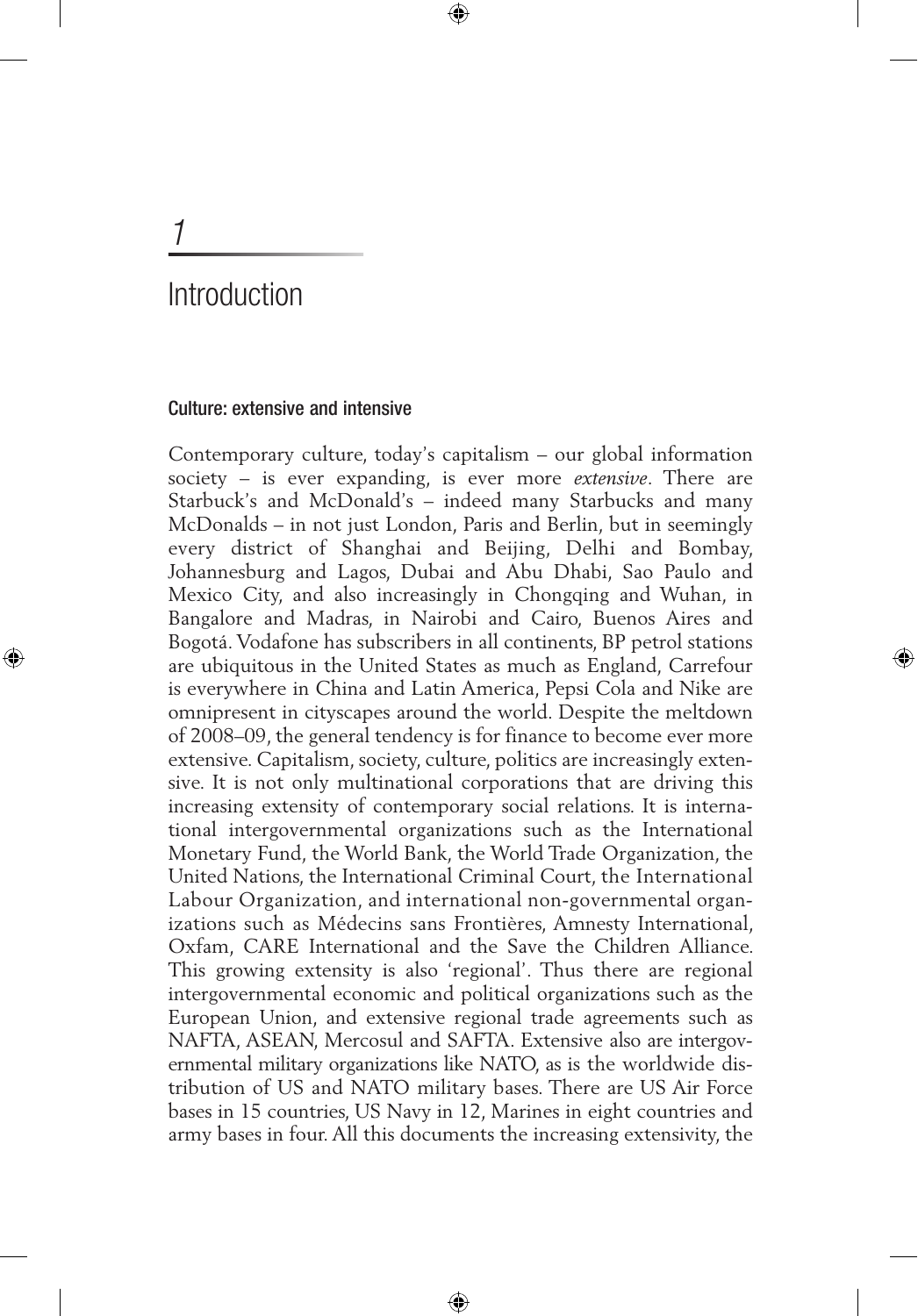# **Introduction**

#### Culture: extensive and intensive

Contemporary culture, today's capitalism – our global information society – is ever expanding, is ever more *extensive*. There are Starbuck's and McDonald's – indeed many Starbucks and many McDonalds – in not just London, Paris and Berlin, but in seemingly every district of Shanghai and Beijing, Delhi and Bombay, Johannesburg and Lagos, Dubai and Abu Dhabi, Sao Paulo and Mexico City, and also increasingly in Chongqing and Wuhan, in Bangalore and Madras, in Nairobi and Cairo, Buenos Aires and Bogotá. Vodafone has subscribers in all continents, BP petrol stations are ubiquitous in the United States as much as England, Carrefour is everywhere in China and Latin America, Pepsi Cola and Nike are omnipresent in cityscapes around the world. Despite the meltdown of 2008–09, the general tendency is for finance to become ever more extensive. Capitalism, society, culture, politics are increasingly extensive. It is not only multinational corporations that are driving this increasing extensity of contemporary social relations. It is international intergovernmental organizations such as the International Monetary Fund, the World Bank, the World Trade Organization, the United Nations, the International Criminal Court, the International Labour Organization, and international non-governmental organizations such as Médecins sans Frontières, Amnesty International, Oxfam, CARE International and the Save the Children Alliance. This growing extensity is also 'regional'. Thus there are regional intergovernmental economic and political organizations such as the European Union, and extensive regional trade agreements such as NAFTA, ASEAN, Mercosul and SAFTA. Extensive also are intergovernmental military organizations like NATO, as is the worldwide distribution of US and NATO military bases. There are US Air Force bases in 15 countries, US Navy in 12, Marines in eight countries and army bases in four. All this documents the increasing extensivity, the

⊕

◈

⊕

*1*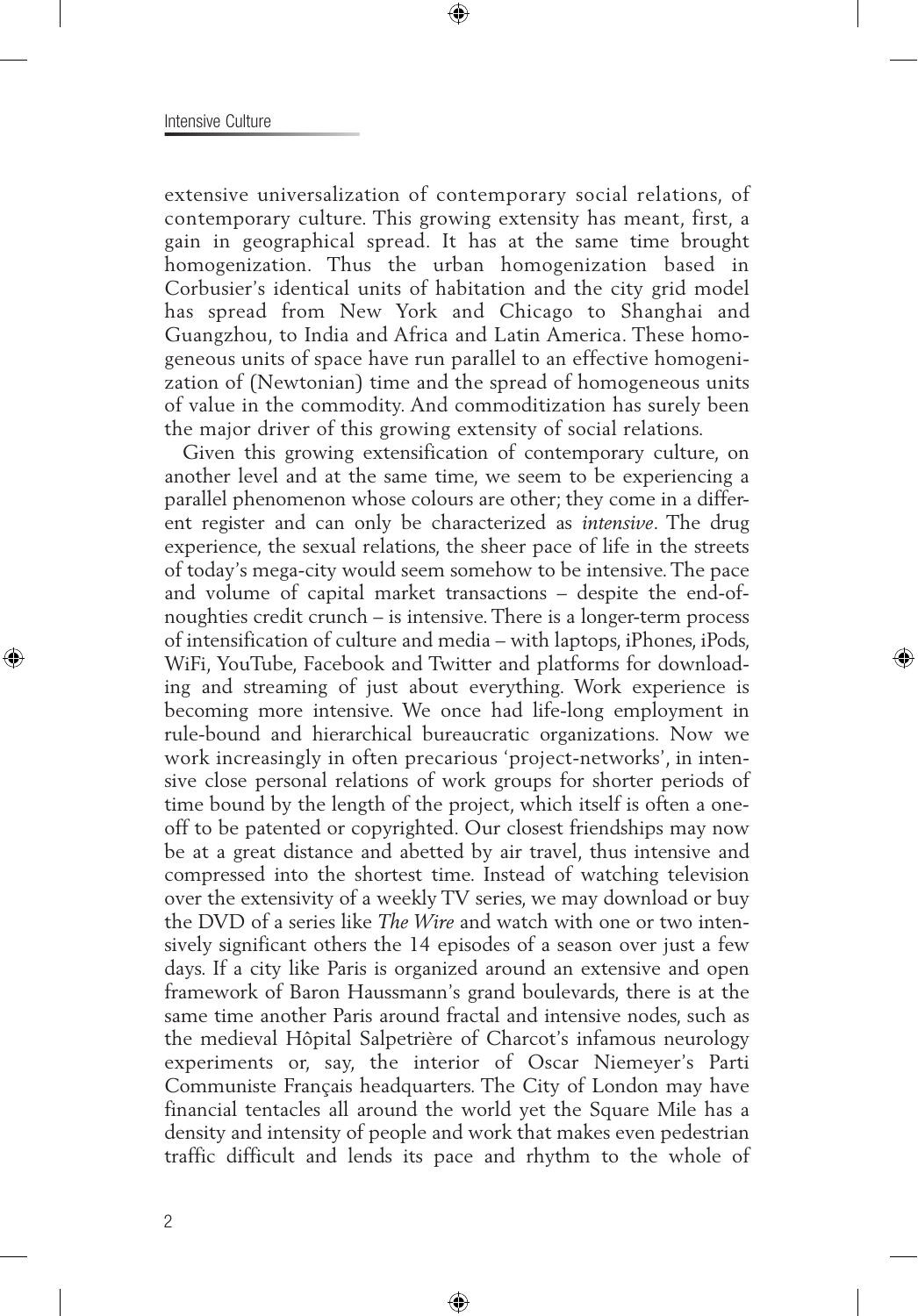extensive universalization of contemporary social relations, of contemporary culture. This growing extensity has meant, first, a gain in geographical spread. It has at the same time brought homogenization. Thus the urban homogenization based in Corbusier's identical units of habitation and the city grid model has spread from New York and Chicago to Shanghai and Guangzhou, to India and Africa and Latin America. These homogeneous units of space have run parallel to an effective homogenization of (Newtonian) time and the spread of homogeneous units of value in the commodity. And commoditization has surely been the major driver of this growing extensity of social relations.

⊕

Given this growing extensification of contemporary culture, on another level and at the same time, we seem to be experiencing a parallel phenomenon whose colours are other; they come in a different register and can only be characterized as *intensive*. The drug experience, the sexual relations, the sheer pace of life in the streets of today's mega-city would seem somehow to be intensive. The pace and volume of capital market transactions – despite the end-ofnoughties credit crunch – is intensive. There is a longer-term process of intensification of culture and media – with laptops, iPhones, iPods, WiFi, YouTube, Facebook and Twitter and platforms for downloading and streaming of just about everything. Work experience is becoming more intensive. We once had life-long employment in rule-bound and hierarchical bureaucratic organizations. Now we work increasingly in often precarious 'project-networks', in intensive close personal relations of work groups for shorter periods of time bound by the length of the project, which itself is often a oneoff to be patented or copyrighted. Our closest friendships may now be at a great distance and abetted by air travel, thus intensive and compressed into the shortest time. Instead of watching television over the extensivity of a weekly TV series, we may download or buy the DVD of a series like *The Wire* and watch with one or two intensively significant others the 14 episodes of a season over just a few days. If a city like Paris is organized around an extensive and open framework of Baron Haussmann's grand boulevards, there is at the same time another Paris around fractal and intensive nodes, such as the medieval Hôpital Salpetrière of Charcot's infamous neurology experiments or, say, the interior of Oscar Niemeyer's Parti Communiste Français headquarters. The City of London may have financial tentacles all around the world yet the Square Mile has a density and intensity of people and work that makes even pedestrian traffic difficult and lends its pace and rhythm to the whole of

⊕

⊕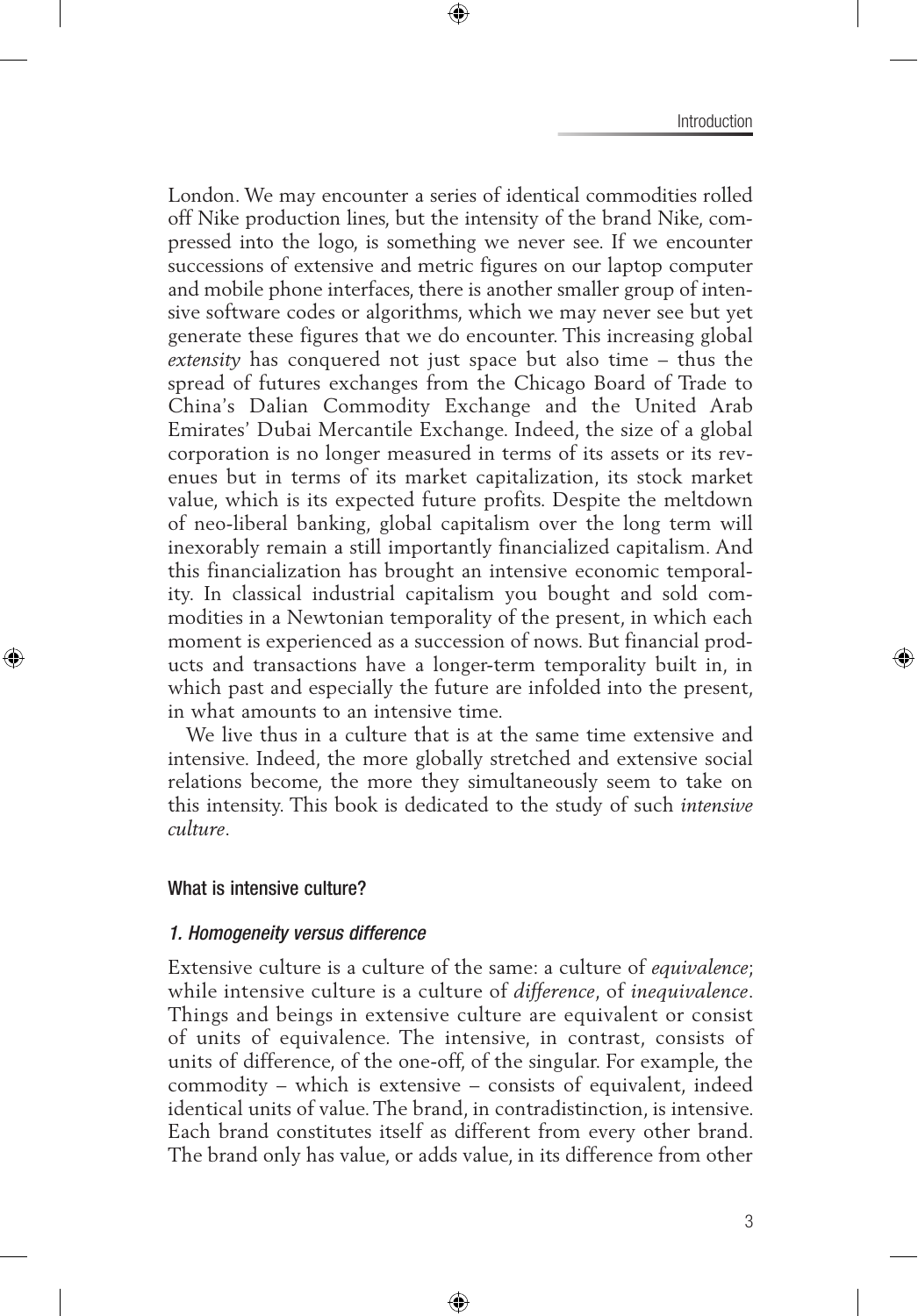London. We may encounter a series of identical commodities rolled off Nike production lines, but the intensity of the brand Nike, compressed into the logo, is something we never see. If we encounter successions of extensive and metric figures on our laptop computer and mobile phone interfaces, there is another smaller group of intensive software codes or algorithms, which we may never see but yet generate these figures that we do encounter. This increasing global *extensity* has conquered not just space but also time – thus the spread of futures exchanges from the Chicago Board of Trade to China's Dalian Commodity Exchange and the United Arab Emirates' Dubai Mercantile Exchange. Indeed, the size of a global corporation is no longer measured in terms of its assets or its revenues but in terms of its market capitalization, its stock market value, which is its expected future profits. Despite the meltdown of neo-liberal banking, global capitalism over the long term will inexorably remain a still importantly financialized capitalism. And this financialization has brought an intensive economic temporality. In classical industrial capitalism you bought and sold commodities in a Newtonian temporality of the present, in which each moment is experienced as a succession of nows. But financial products and transactions have a longer-term temporality built in, in which past and especially the future are infolded into the present, in what amounts to an intensive time.

⊕

We live thus in a culture that is at the same time extensive and intensive. Indeed, the more globally stretched and extensive social relations become, the more they simultaneously seem to take on this intensity. This book is dedicated to the study of such *intensive culture*.

#### What is intensive culture?

⊕

#### *1. Homogeneity versus difference*

Extensive culture is a culture of the same: a culture of *equivalence*; while intensive culture is a culture of *difference*, of *inequivalence*. Things and beings in extensive culture are equivalent or consist of units of equivalence. The intensive, in contrast, consists of units of difference, of the one-off, of the singular. For example, the commodity – which is extensive – consists of equivalent, indeed identical units of value. The brand, in contradistinction, is intensive. Each brand constitutes itself as different from every other brand. The brand only has value, or adds value, in its difference from other

⊕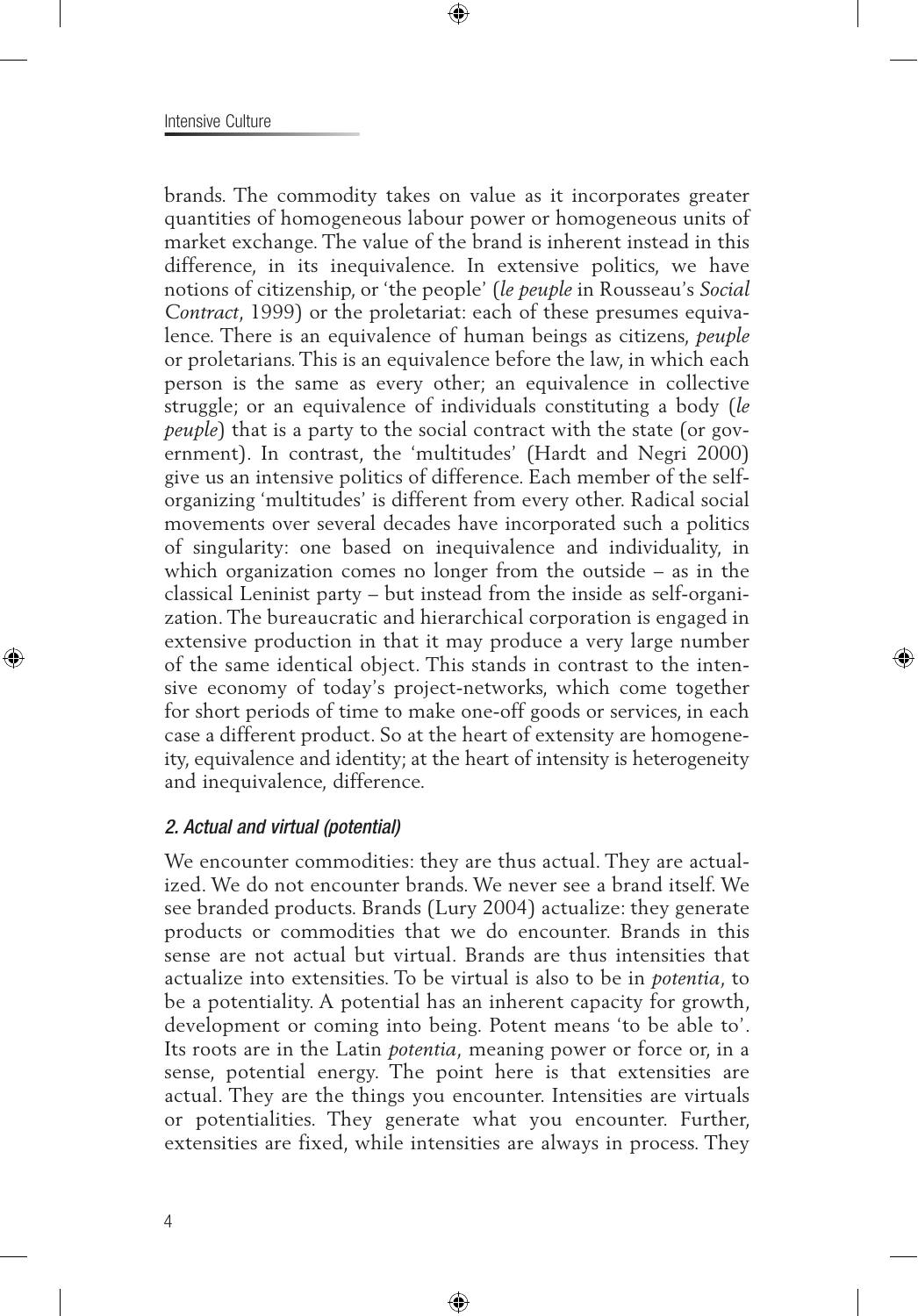brands. The commodity takes on value as it incorporates greater quantities of homogeneous labour power or homogeneous units of market exchange. The value of the brand is inherent instead in this difference, in its inequivalence. In extensive politics, we have notions of citizenship, or 'the people' (*le peuple* in Rousseau's *Social Contract*, 1999) or the proletariat: each of these presumes equivalence. There is an equivalence of human beings as citizens, *peuple* or proletarians. This is an equivalence before the law, in which each person is the same as every other; an equivalence in collective struggle; or an equivalence of individuals constituting a body (*le peuple*) that is a party to the social contract with the state (or government). In contrast, the 'multitudes' (Hardt and Negri 2000) give us an intensive politics of difference. Each member of the selforganizing 'multitudes' is different from every other. Radical social movements over several decades have incorporated such a politics of singularity: one based on inequivalence and individuality, in which organization comes no longer from the outside – as in the classical Leninist party – but instead from the inside as self-organization. The bureaucratic and hierarchical corporation is engaged in extensive production in that it may produce a very large number of the same identical object. This stands in contrast to the intensive economy of today's project-networks, which come together for short periods of time to make one-off goods or services, in each case a different product. So at the heart of extensity are homogeneity, equivalence and identity; at the heart of intensity is heterogeneity and inequivalence, difference.

◈

⊕

## *2. Actual and virtual (potential)*

We encounter commodities: they are thus actual. They are actualized. We do not encounter brands. We never see a brand itself. We see branded products. Brands (Lury 2004) actualize: they generate products or commodities that we do encounter. Brands in this sense are not actual but virtual. Brands are thus intensities that actualize into extensities. To be virtual is also to be in *potentia*, to be a potentiality. A potential has an inherent capacity for growth, development or coming into being. Potent means 'to be able to'. Its roots are in the Latin *potentia*, meaning power or force or, in a sense, potential energy. The point here is that extensities are actual. They are the things you encounter. Intensities are virtuals or potentialities. They generate what you encounter. Further, extensities are fixed, while intensities are always in process. They

⊕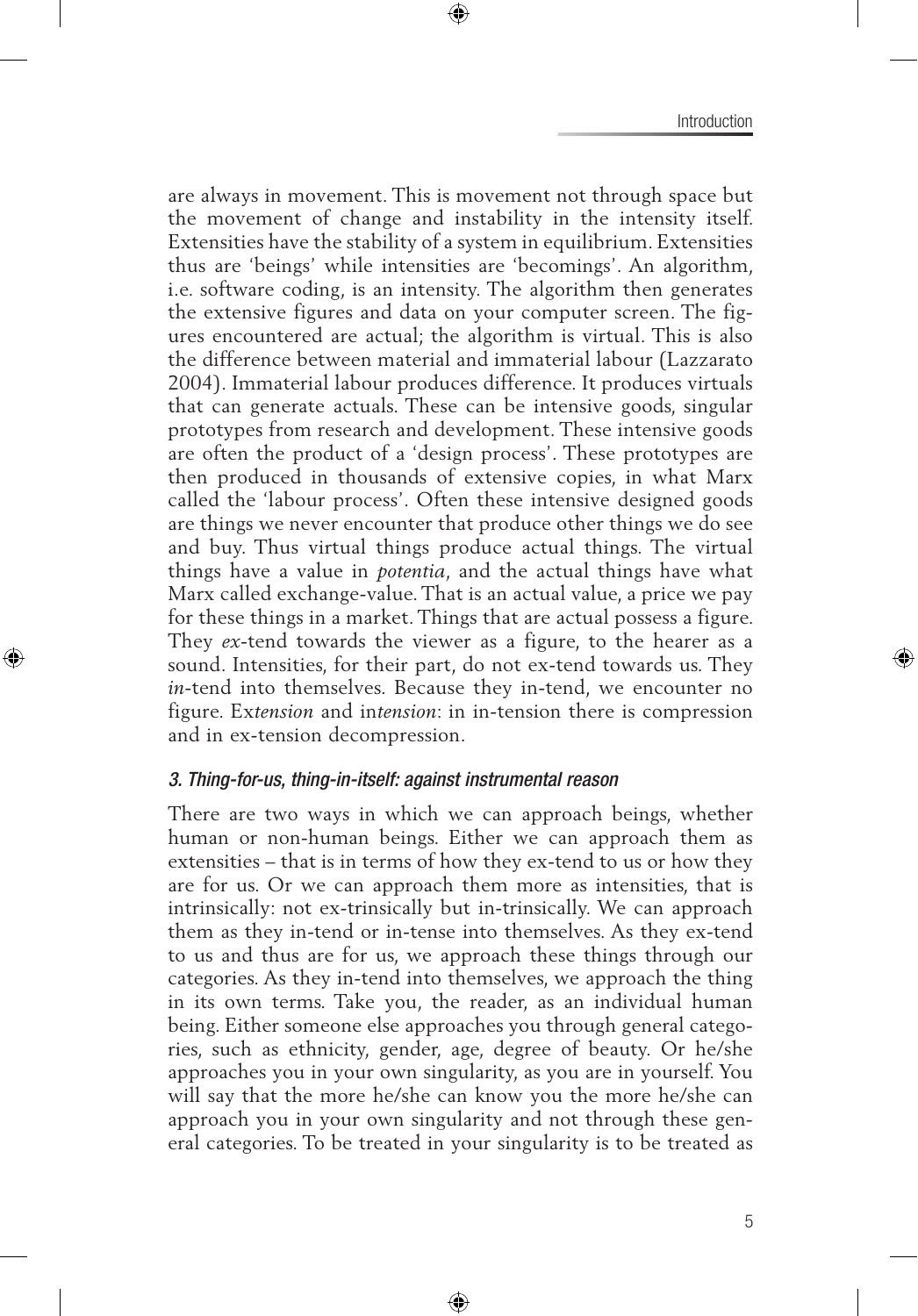are always in movement. This is movement not through space but the movement of change and instability in the intensity itself. Extensities have the stability of a system in equilibrium. Extensities thus are 'beings' while intensities are 'becomings'. An algorithm, i.e. software coding, is an intensity. The algorithm then generates the extensive figures and data on your computer screen. The figures encountered are actual; the algorithm is virtual. This is also the difference between material and immaterial labour (Lazzarato 2004). Immaterial labour produces difference. It produces virtuals that can generate actuals. These can be intensive goods, singular prototypes from research and development. These intensive goods are often the product of a 'design process'. These prototypes are then produced in thousands of extensive copies, in what Marx called the 'labour process'. Often these intensive designed goods are things we never encounter that produce other things we do see and buy. Thus virtual things produce actual things. The virtual things have a value in *potentia*, and the actual things have what Marx called exchange-value. That is an actual value, a price we pay for these things in a market. Things that are actual possess a figure. They *ex*-tend towards the viewer as a figure, to the hearer as a sound. Intensities, for their part, do not ex-tend towards us. They *in*-tend into themselves. Because they in-tend, we encounter no figure. Ex*tension* and in*tension*: in in-tension there is compression and in ex-tension decompression.

⊕

#### *3. Thing-for-us, thing-in-itself: against instrumental reason*

⊕

There are two ways in which we can approach beings, whether human or non-human beings. Either we can approach them as extensities – that is in terms of how they ex-tend to us or how they are for us. Or we can approach them more as intensities, that is intrinsically: not ex-trinsically but in-trinsically. We can approach them as they in-tend or in-tense into themselves. As they ex-tend to us and thus are for us, we approach these things through our categories. As they in-tend into themselves, we approach the thing in its own terms. Take you, the reader, as an individual human being. Either someone else approaches you through general categories, such as ethnicity, gender, age, degree of beauty. Or he/she approaches you in your own singularity, as you are in yourself. You will say that the more he/she can know you the more he/she can approach you in your own singularity and not through these general categories. To be treated in your singularity is to be treated as

⊕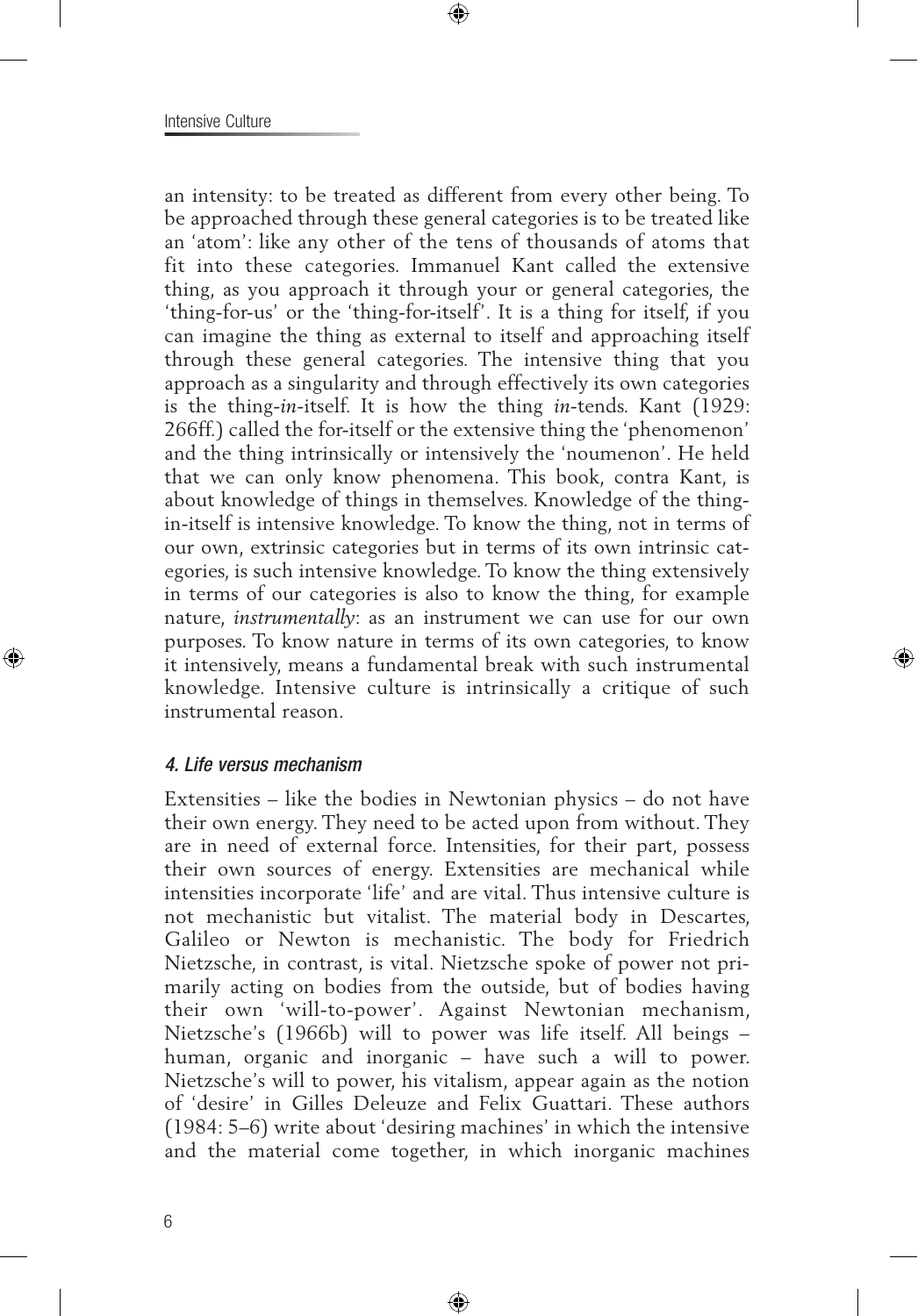an intensity: to be treated as different from every other being. To be approached through these general categories is to be treated like an 'atom': like any other of the tens of thousands of atoms that fit into these categories. Immanuel Kant called the extensive thing, as you approach it through your or general categories, the 'thing-for-us' or the 'thing-for-itself'. It is a thing for itself, if you can imagine the thing as external to itself and approaching itself through these general categories. The intensive thing that you approach as a singularity and through effectively its own categories is the thing-*in*-itself. It is how the thing *in*-tends. Kant (1929: 266ff.) called the for-itself or the extensive thing the 'phenomenon' and the thing intrinsically or intensively the 'noumenon'. He held that we can only know phenomena. This book, contra Kant, is about knowledge of things in themselves. Knowledge of the thingin-itself is intensive knowledge. To know the thing, not in terms of our own, extrinsic categories but in terms of its own intrinsic categories, is such intensive knowledge. To know the thing extensively in terms of our categories is also to know the thing, for example nature, *instrumentally*: as an instrument we can use for our own purposes. To know nature in terms of its own categories, to know it intensively, means a fundamental break with such instrumental knowledge. Intensive culture is intrinsically a critique of such instrumental reason.

⊕

⊕

#### *4. Life versus mechanism*

Extensities – like the bodies in Newtonian physics – do not have their own energy. They need to be acted upon from without. They are in need of external force. Intensities, for their part, possess their own sources of energy. Extensities are mechanical while intensities incorporate 'life' and are vital. Thus intensive culture is not mechanistic but vitalist. The material body in Descartes, Galileo or Newton is mechanistic. The body for Friedrich Nietzsche, in contrast, is vital. Nietzsche spoke of power not primarily acting on bodies from the outside, but of bodies having their own 'will-to-power'. Against Newtonian mechanism, Nietzsche's (1966b) will to power was life itself. All beings – human, organic and inorganic – have such a will to power. Nietzsche's will to power, his vitalism, appear again as the notion of 'desire' in Gilles Deleuze and Felix Guattari. These authors (1984: 5–6) write about 'desiring machines' in which the intensive and the material come together, in which inorganic machines

⊕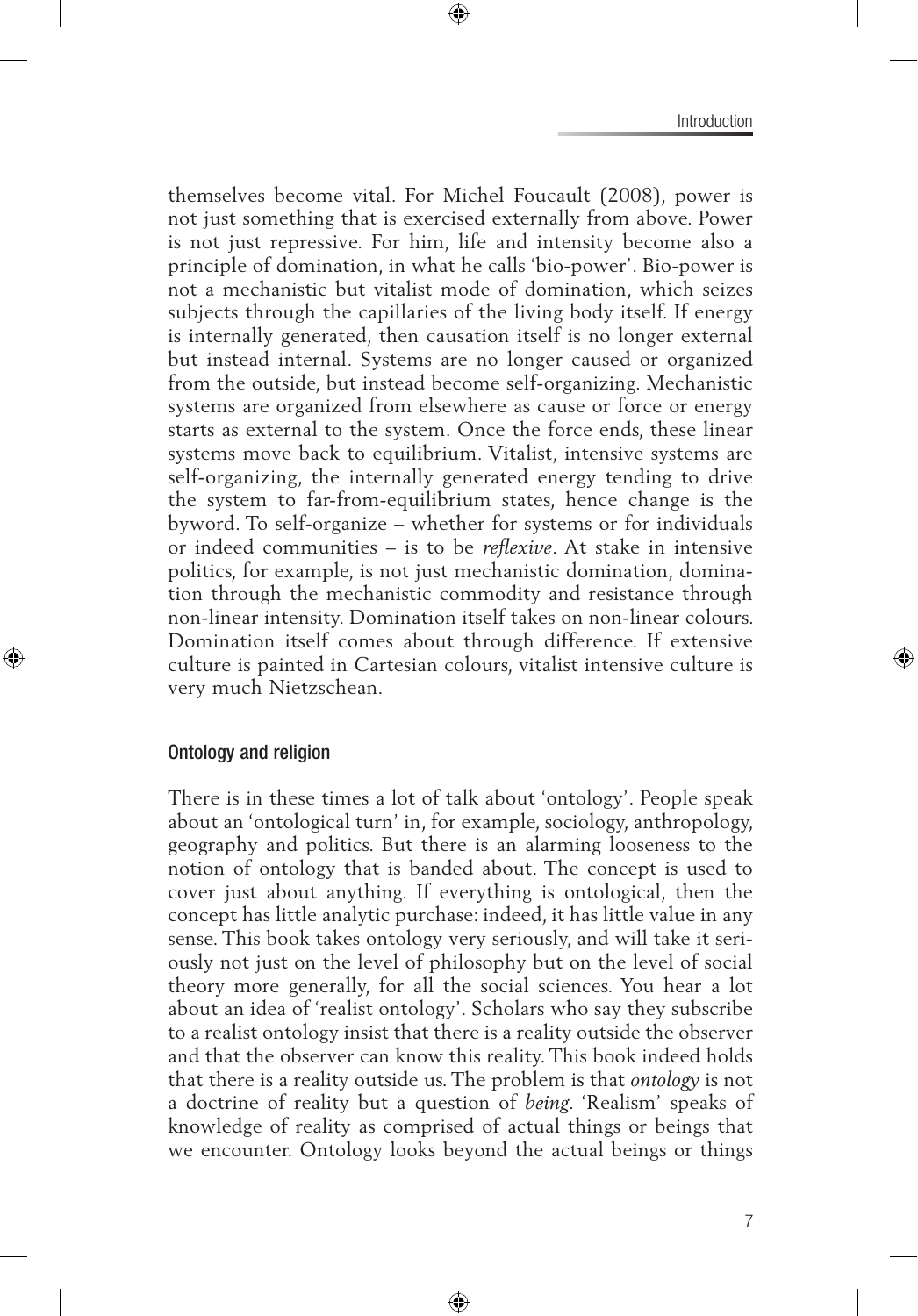themselves become vital. For Michel Foucault (2008), power is not just something that is exercised externally from above. Power is not just repressive. For him, life and intensity become also a principle of domination, in what he calls 'bio-power'. Bio-power is not a mechanistic but vitalist mode of domination, which seizes subjects through the capillaries of the living body itself. If energy is internally generated, then causation itself is no longer external but instead internal. Systems are no longer caused or organized from the outside, but instead become self-organizing. Mechanistic systems are organized from elsewhere as cause or force or energy starts as external to the system. Once the force ends, these linear systems move back to equilibrium. Vitalist, intensive systems are self-organizing, the internally generated energy tending to drive the system to far-from-equilibrium states, hence change is the byword. To self-organize – whether for systems or for individuals or indeed communities – is to be *reflexive*. At stake in intensive politics, for example, is not just mechanistic domination, domination through the mechanistic commodity and resistance through non-linear intensity. Domination itself takes on non-linear colours. Domination itself comes about through difference. If extensive culture is painted in Cartesian colours, vitalist intensive culture is very much Nietzschean.

⊕

#### Ontology and religion

⊕

There is in these times a lot of talk about 'ontology'. People speak about an 'ontological turn' in, for example, sociology, anthropology, geography and politics. But there is an alarming looseness to the notion of ontology that is banded about. The concept is used to cover just about anything. If everything is ontological, then the concept has little analytic purchase: indeed, it has little value in any sense. This book takes ontology very seriously, and will take it seriously not just on the level of philosophy but on the level of social theory more generally, for all the social sciences. You hear a lot about an idea of 'realist ontology'. Scholars who say they subscribe to a realist ontology insist that there is a reality outside the observer and that the observer can know this reality. This book indeed holds that there is a reality outside us. The problem is that *ontology* is not a doctrine of reality but a question of *being*. 'Realism' speaks of knowledge of reality as comprised of actual things or beings that we encounter. Ontology looks beyond the actual beings or things

⊕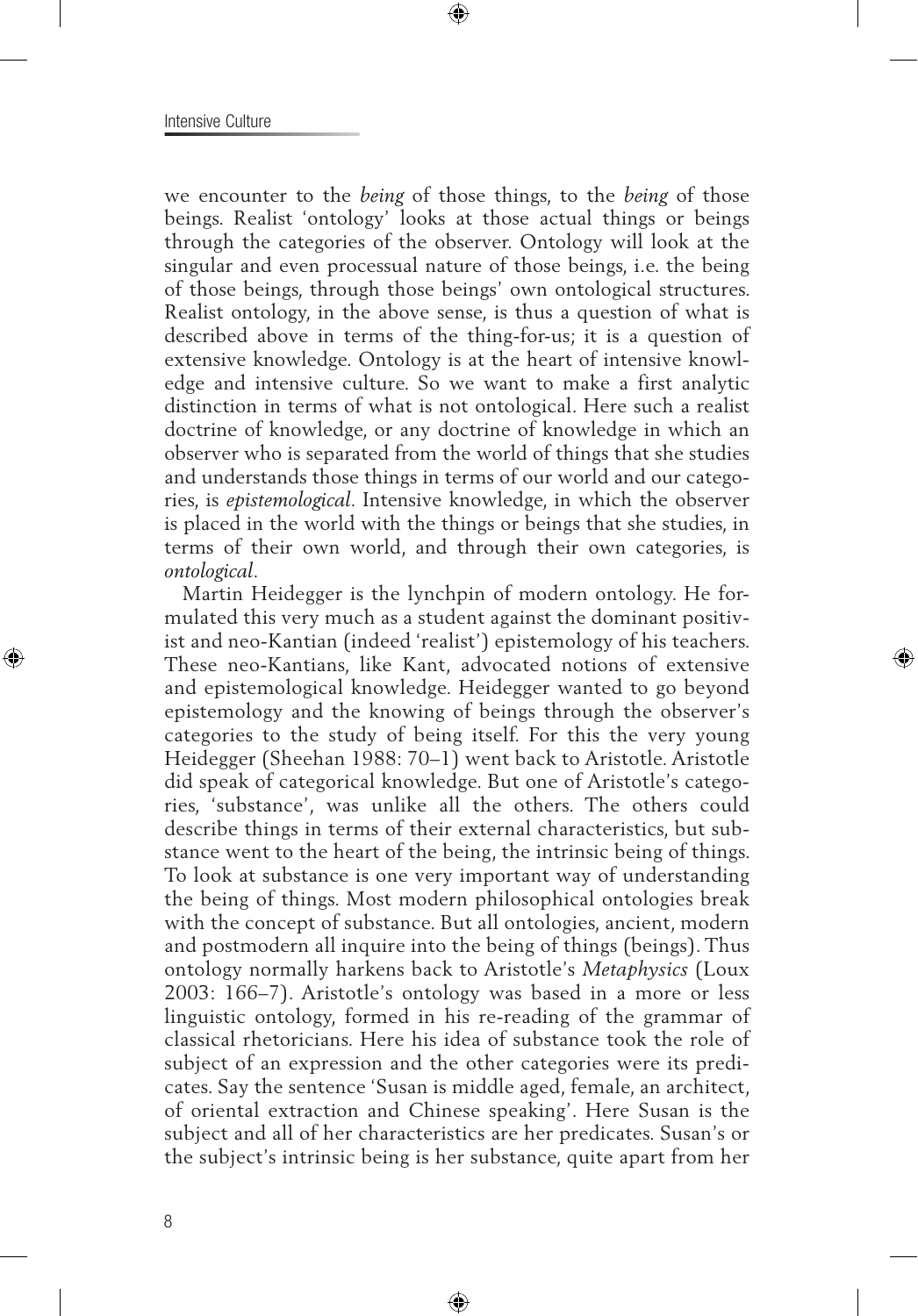we encounter to the *being* of those things, to the *being* of those beings. Realist 'ontology' looks at those actual things or beings through the categories of the observer. Ontology will look at the singular and even processual nature of those beings, i.e. the being of those beings, through those beings' own ontological structures. Realist ontology, in the above sense, is thus a question of what is described above in terms of the thing-for-us; it is a question of extensive knowledge. Ontology is at the heart of intensive knowledge and intensive culture. So we want to make a first analytic distinction in terms of what is not ontological. Here such a realist doctrine of knowledge, or any doctrine of knowledge in which an observer who is separated from the world of things that she studies and understands those things in terms of our world and our categories, is *epistemological*. Intensive knowledge, in which the observer is placed in the world with the things or beings that she studies, in terms of their own world, and through their own categories, is *ontological*.

⊕

Martin Heidegger is the lynchpin of modern ontology. He formulated this very much as a student against the dominant positivist and neo-Kantian (indeed 'realist') epistemology of his teachers. These neo-Kantians, like Kant, advocated notions of extensive and epistemological knowledge. Heidegger wanted to go beyond epistemology and the knowing of beings through the observer's categories to the study of being itself. For this the very young Heidegger (Sheehan 1988: 70–1) went back to Aristotle. Aristotle did speak of categorical knowledge. But one of Aristotle's categories, 'substance', was unlike all the others. The others could describe things in terms of their external characteristics, but substance went to the heart of the being, the intrinsic being of things. To look at substance is one very important way of understanding the being of things. Most modern philosophical ontologies break with the concept of substance. But all ontologies, ancient, modern and postmodern all inquire into the being of things (beings). Thus ontology normally harkens back to Aristotle's *Metaphysics* (Loux 2003: 166–7). Aristotle's ontology was based in a more or less linguistic ontology, formed in his re-reading of the grammar of classical rhetoricians. Here his idea of substance took the role of subject of an expression and the other categories were its predicates. Say the sentence 'Susan is middle aged, female, an architect, of oriental extraction and Chinese speaking'. Here Susan is the subject and all of her characteristics are her predicates. Susan's or the subject's intrinsic being is her substance, quite apart from her

⊕

◈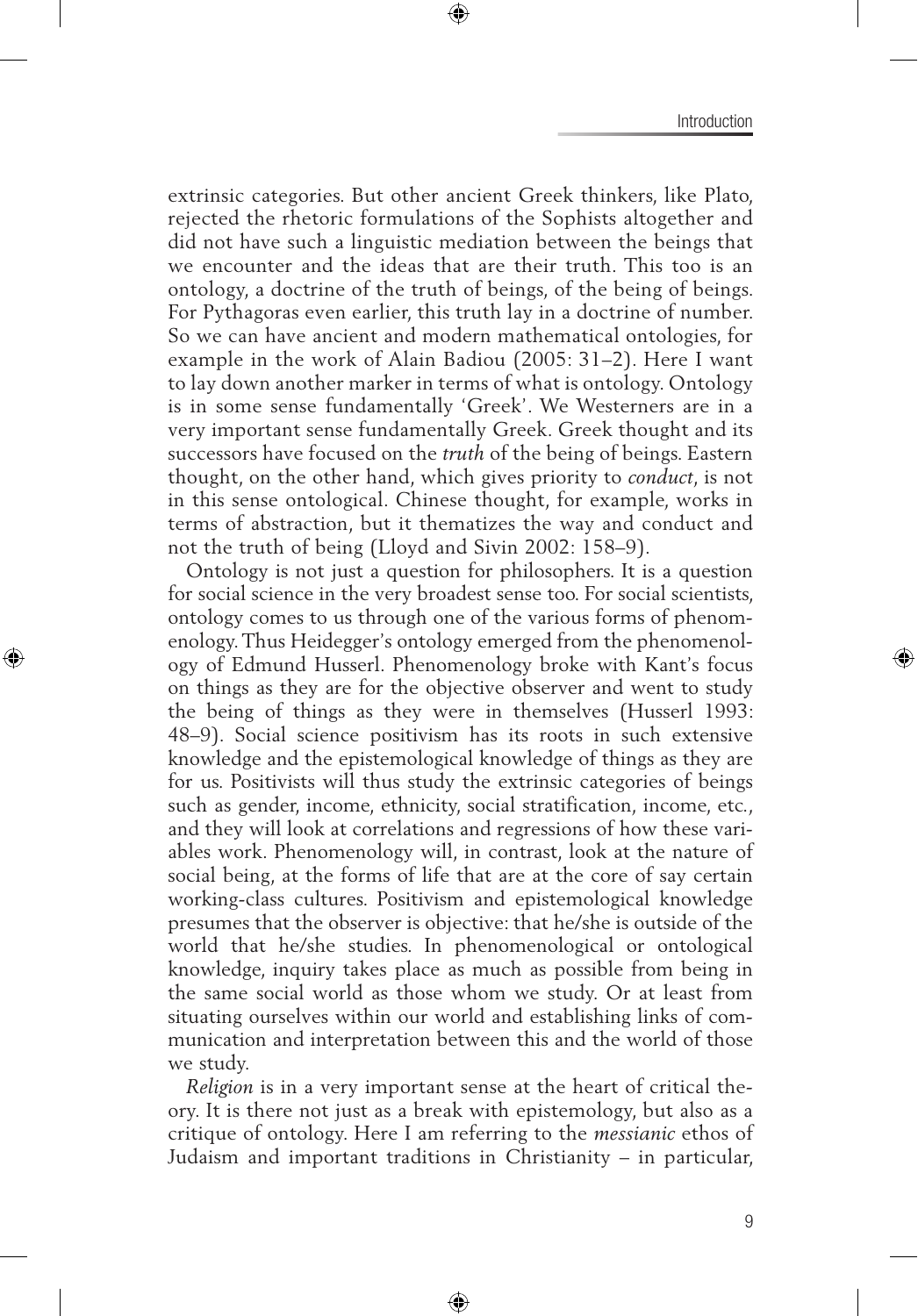extrinsic categories. But other ancient Greek thinkers, like Plato, rejected the rhetoric formulations of the Sophists altogether and did not have such a linguistic mediation between the beings that we encounter and the ideas that are their truth. This too is an ontology, a doctrine of the truth of beings, of the being of beings. For Pythagoras even earlier, this truth lay in a doctrine of number. So we can have ancient and modern mathematical ontologies, for example in the work of Alain Badiou (2005: 31–2). Here I want to lay down another marker in terms of what is ontology. Ontology is in some sense fundamentally 'Greek'. We Westerners are in a very important sense fundamentally Greek. Greek thought and its successors have focused on the *truth* of the being of beings. Eastern thought, on the other hand, which gives priority to *conduct*, is not in this sense ontological. Chinese thought, for example, works in terms of abstraction, but it thematizes the way and conduct and not the truth of being (Lloyd and Sivin 2002: 158–9).

⊕

Ontology is not just a question for philosophers. It is a question for social science in the very broadest sense too. For social scientists, ontology comes to us through one of the various forms of phenomenology. Thus Heidegger's ontology emerged from the phenomenology of Edmund Husserl. Phenomenology broke with Kant's focus on things as they are for the objective observer and went to study the being of things as they were in themselves (Husserl 1993: 48–9). Social science positivism has its roots in such extensive knowledge and the epistemological knowledge of things as they are for us. Positivists will thus study the extrinsic categories of beings such as gender, income, ethnicity, social stratification, income, etc., and they will look at correlations and regressions of how these variables work. Phenomenology will, in contrast, look at the nature of social being, at the forms of life that are at the core of say certain working-class cultures. Positivism and epistemological knowledge presumes that the observer is objective: that he/she is outside of the world that he/she studies. In phenomenological or ontological knowledge, inquiry takes place as much as possible from being in the same social world as those whom we study. Or at least from situating ourselves within our world and establishing links of communication and interpretation between this and the world of those we study.

◈

*Religion* is in a very important sense at the heart of critical theory. It is there not just as a break with epistemology, but also as a critique of ontology. Here I am referring to the *messianic* ethos of Judaism and important traditions in Christianity – in particular,

⊕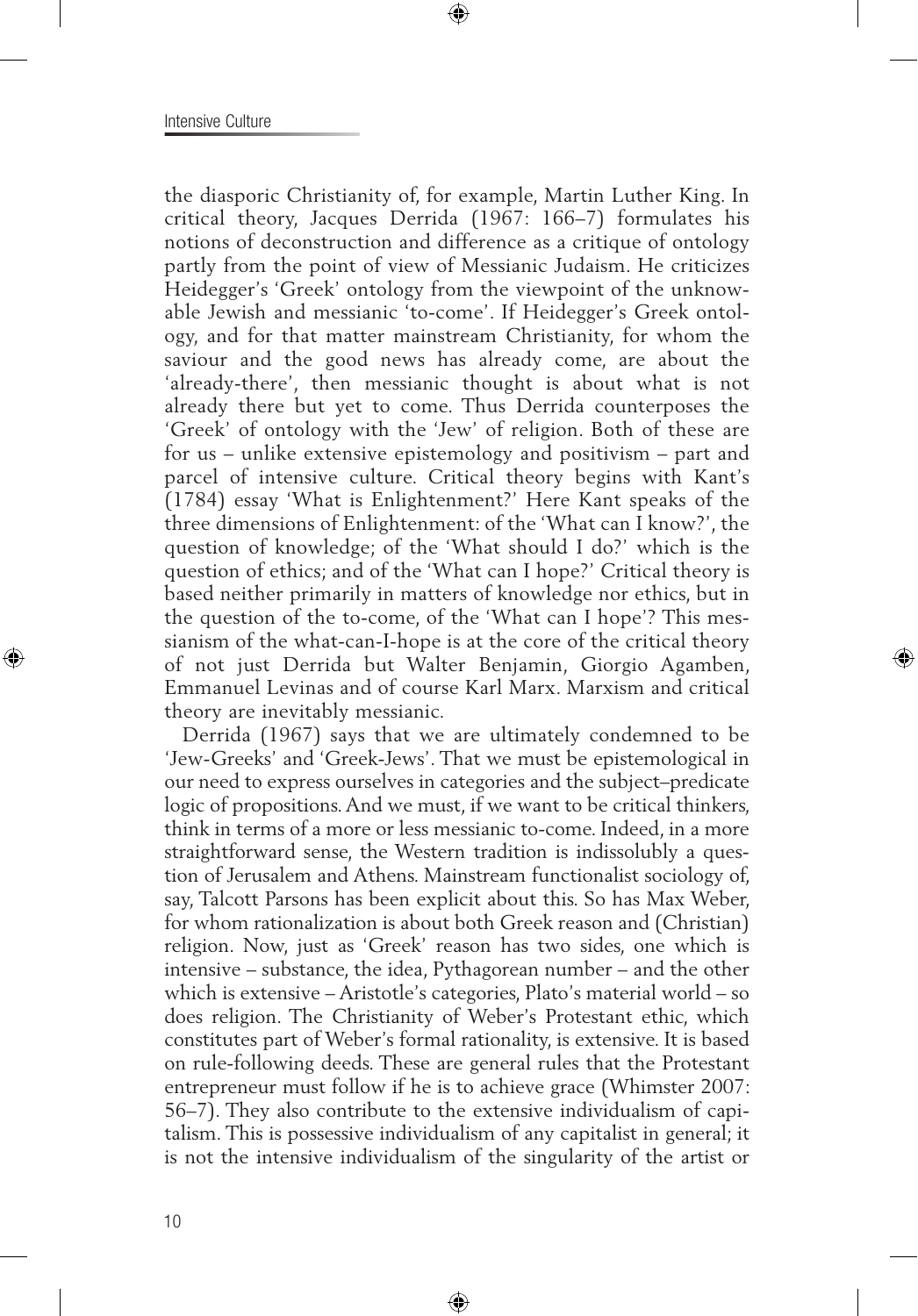the diasporic Christianity of, for example, Martin Luther King. In critical theory, Jacques Derrida (1967: 166–7) formulates his notions of deconstruction and difference as a critique of ontology partly from the point of view of Messianic Judaism. He criticizes Heidegger's 'Greek' ontology from the viewpoint of the unknowable Jewish and messianic 'to-come'. If Heidegger's Greek ontology, and for that matter mainstream Christianity, for whom the saviour and the good news has already come, are about the 'already-there', then messianic thought is about what is not already there but yet to come. Thus Derrida counterposes the 'Greek' of ontology with the 'Jew' of religion. Both of these are for us – unlike extensive epistemology and positivism – part and parcel of intensive culture. Critical theory begins with Kant's (1784) essay 'What is Enlightenment?' Here Kant speaks of the three dimensions of Enlightenment: of the 'What can I know?', the question of knowledge; of the 'What should I do?' which is the question of ethics; and of the 'What can I hope?' Critical theory is based neither primarily in matters of knowledge nor ethics, but in the question of the to-come, of the 'What can I hope'? This messianism of the what-can-I-hope is at the core of the critical theory of not just Derrida but Walter Benjamin, Giorgio Agamben, Emmanuel Levinas and of course Karl Marx. Marxism and critical theory are inevitably messianic.

◈

⊕

Derrida (1967) says that we are ultimately condemned to be 'Jew-Greeks' and 'Greek-Jews'. That we must be epistemological in our need to express ourselves in categories and the subject–predicate logic of propositions. And we must, if we want to be critical thinkers, think in terms of a more or less messianic to-come. Indeed, in a more straightforward sense, the Western tradition is indissolubly a question of Jerusalem and Athens. Mainstream functionalist sociology of, say, Talcott Parsons has been explicit about this. So has Max Weber, for whom rationalization is about both Greek reason and (Christian) religion. Now, just as 'Greek' reason has two sides, one which is intensive – substance, the idea, Pythagorean number – and the other which is extensive – Aristotle's categories, Plato's material world – so does religion. The Christianity of Weber's Protestant ethic, which constitutes part of Weber's formal rationality, is extensive. It is based on rule-following deeds. These are general rules that the Protestant entrepreneur must follow if he is to achieve grace (Whimster 2007: 56–7). They also contribute to the extensive individualism of capitalism. This is possessive individualism of any capitalist in general; it is not the intensive individualism of the singularity of the artist or

⊕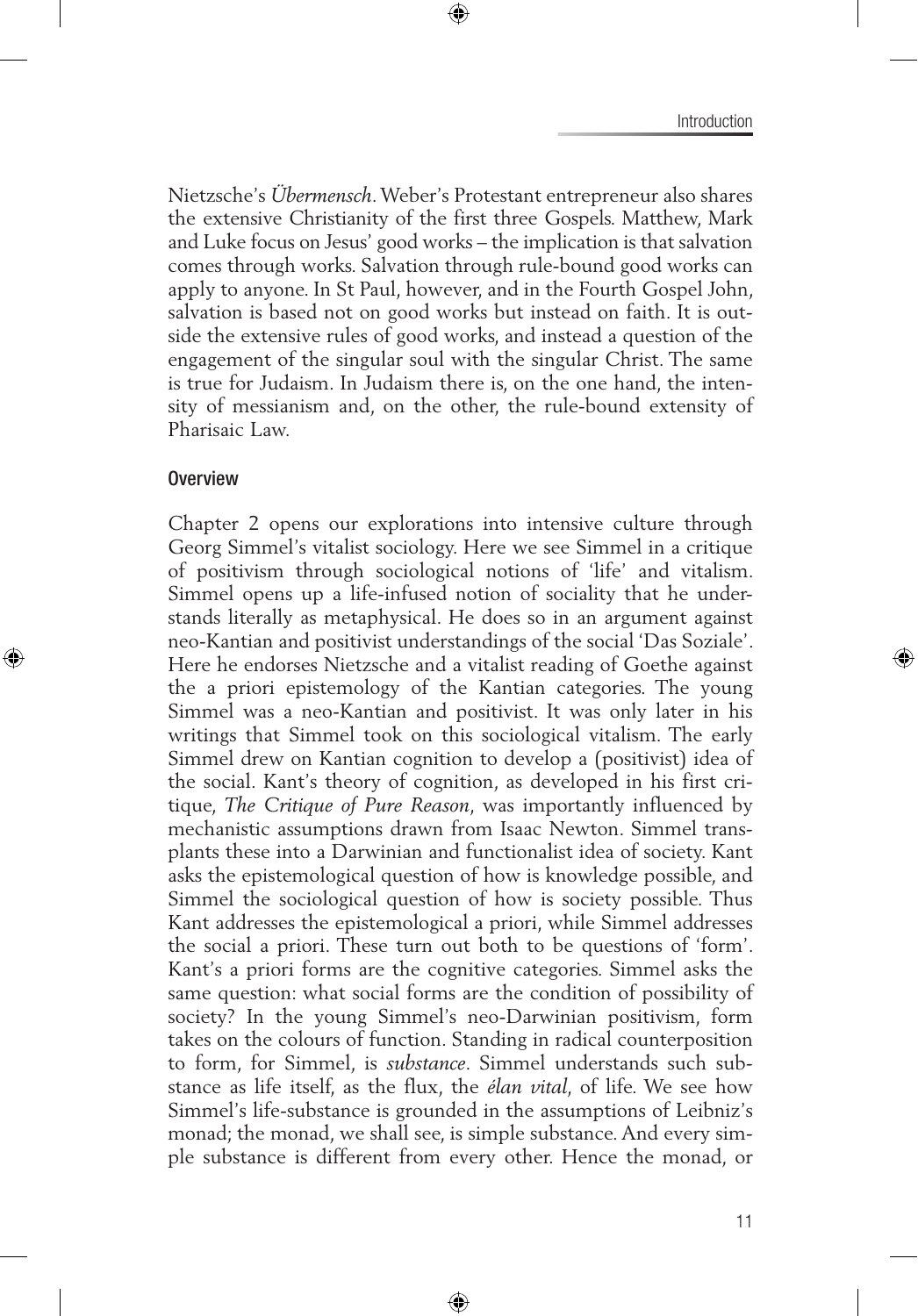Nietzsche's *Übermensch*. Weber's Protestant entrepreneur also shares the extensive Christianity of the first three Gospels. Matthew, Mark and Luke focus on Jesus' good works – the implication is that salvation comes through works. Salvation through rule-bound good works can apply to anyone. In St Paul, however, and in the Fourth Gospel John, salvation is based not on good works but instead on faith. It is outside the extensive rules of good works, and instead a question of the engagement of the singular soul with the singular Christ. The same is true for Judaism. In Judaism there is, on the one hand, the intensity of messianism and, on the other, the rule-bound extensity of Pharisaic Law.

⊕

### Overview

⊕

Chapter 2 opens our explorations into intensive culture through Georg Simmel's vitalist sociology. Here we see Simmel in a critique of positivism through sociological notions of 'life' and vitalism. Simmel opens up a life-infused notion of sociality that he understands literally as metaphysical. He does so in an argument against neo-Kantian and positivist understandings of the social 'Das Soziale'. Here he endorses Nietzsche and a vitalist reading of Goethe against the a priori epistemology of the Kantian categories. The young Simmel was a neo-Kantian and positivist. It was only later in his writings that Simmel took on this sociological vitalism. The early Simmel drew on Kantian cognition to develop a (positivist) idea of the social. Kant's theory of cognition, as developed in his first critique, *The Critique of Pure Reason*, was importantly influenced by mechanistic assumptions drawn from Isaac Newton. Simmel transplants these into a Darwinian and functionalist idea of society. Kant asks the epistemological question of how is knowledge possible, and Simmel the sociological question of how is society possible. Thus Kant addresses the epistemological a priori, while Simmel addresses the social a priori. These turn out both to be questions of 'form'. Kant's a priori forms are the cognitive categories. Simmel asks the same question: what social forms are the condition of possibility of society? In the young Simmel's neo-Darwinian positivism, form takes on the colours of function. Standing in radical counterposition to form, for Simmel, is *substance*. Simmel understands such substance as life itself, as the flux, the *élan vital*, of life. We see how Simmel's life-substance is grounded in the assumptions of Leibniz's monad; the monad, we shall see, is simple substance. And every simple substance is different from every other. Hence the monad, or

⊕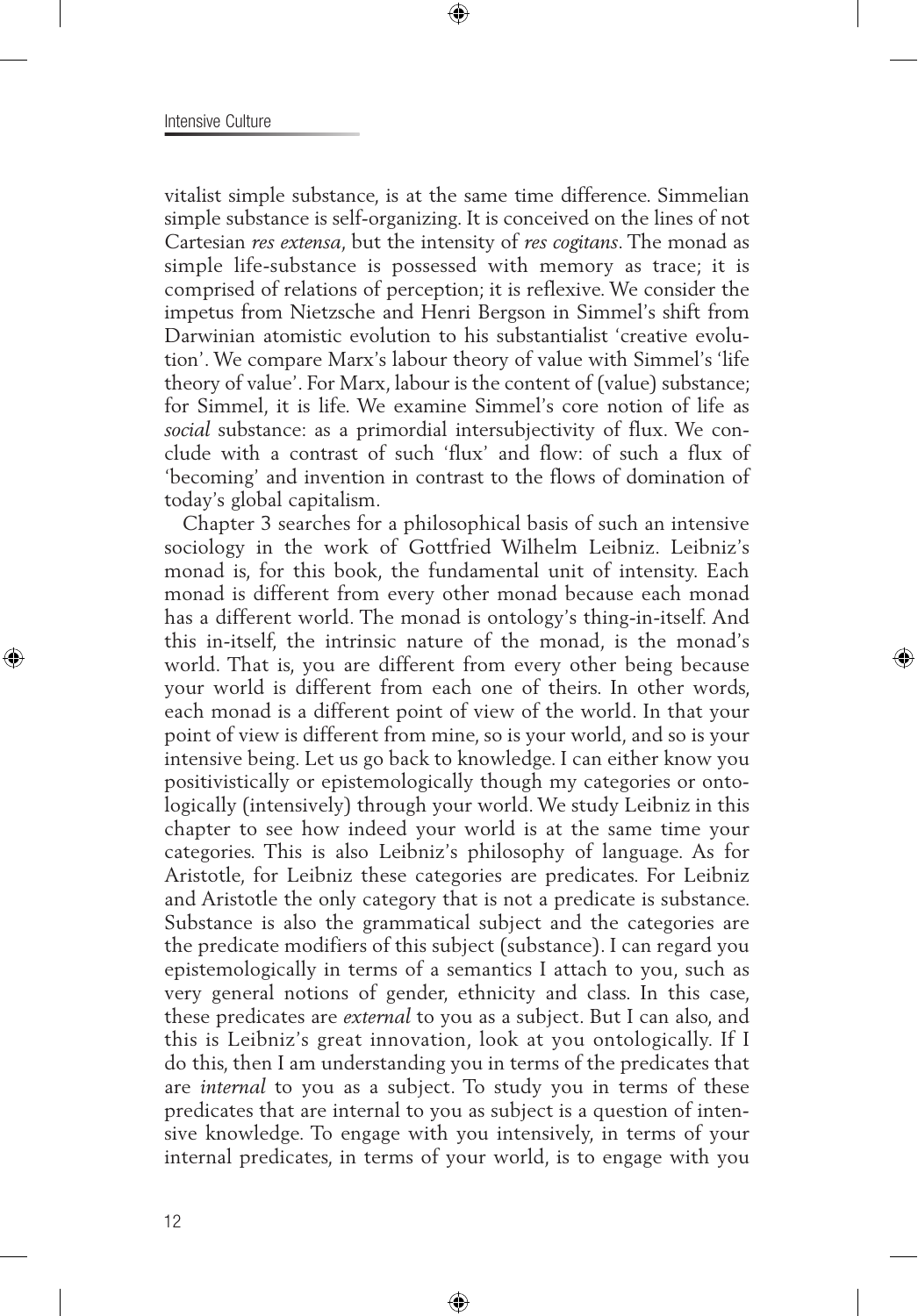vitalist simple substance, is at the same time difference. Simmelian simple substance is self-organizing. It is conceived on the lines of not Cartesian *res extensa*, but the intensity of *res cogitans*. The monad as simple life-substance is possessed with memory as trace; it is comprised of relations of perception; it is reflexive. We consider the impetus from Nietzsche and Henri Bergson in Simmel's shift from Darwinian atomistic evolution to his substantialist 'creative evolution'. We compare Marx's labour theory of value with Simmel's 'life theory of value'. For Marx, labour is the content of (value) substance; for Simmel, it is life. We examine Simmel's core notion of life as *social* substance: as a primordial intersubjectivity of flux. We conclude with a contrast of such 'flux' and flow: of such a flux of 'becoming' and invention in contrast to the flows of domination of today's global capitalism.

⊕

Chapter 3 searches for a philosophical basis of such an intensive sociology in the work of Gottfried Wilhelm Leibniz. Leibniz's monad is, for this book, the fundamental unit of intensity. Each monad is different from every other monad because each monad has a different world. The monad is ontology's thing-in-itself. And this in-itself, the intrinsic nature of the monad, is the monad's world. That is, you are different from every other being because your world is different from each one of theirs. In other words, each monad is a different point of view of the world. In that your point of view is different from mine, so is your world, and so is your intensive being. Let us go back to knowledge. I can either know you positivistically or epistemologically though my categories or ontologically (intensively) through your world. We study Leibniz in this chapter to see how indeed your world is at the same time your categories. This is also Leibniz's philosophy of language. As for Aristotle, for Leibniz these categories are predicates. For Leibniz and Aristotle the only category that is not a predicate is substance. Substance is also the grammatical subject and the categories are the predicate modifiers of this subject (substance). I can regard you epistemologically in terms of a semantics I attach to you, such as very general notions of gender, ethnicity and class. In this case, these predicates are *external* to you as a subject. But I can also, and this is Leibniz's great innovation, look at you ontologically. If I do this, then I am understanding you in terms of the predicates that are *internal* to you as a subject. To study you in terms of these predicates that are internal to you as subject is a question of intensive knowledge. To engage with you intensively, in terms of your internal predicates, in terms of your world, is to engage with you

⊕

◈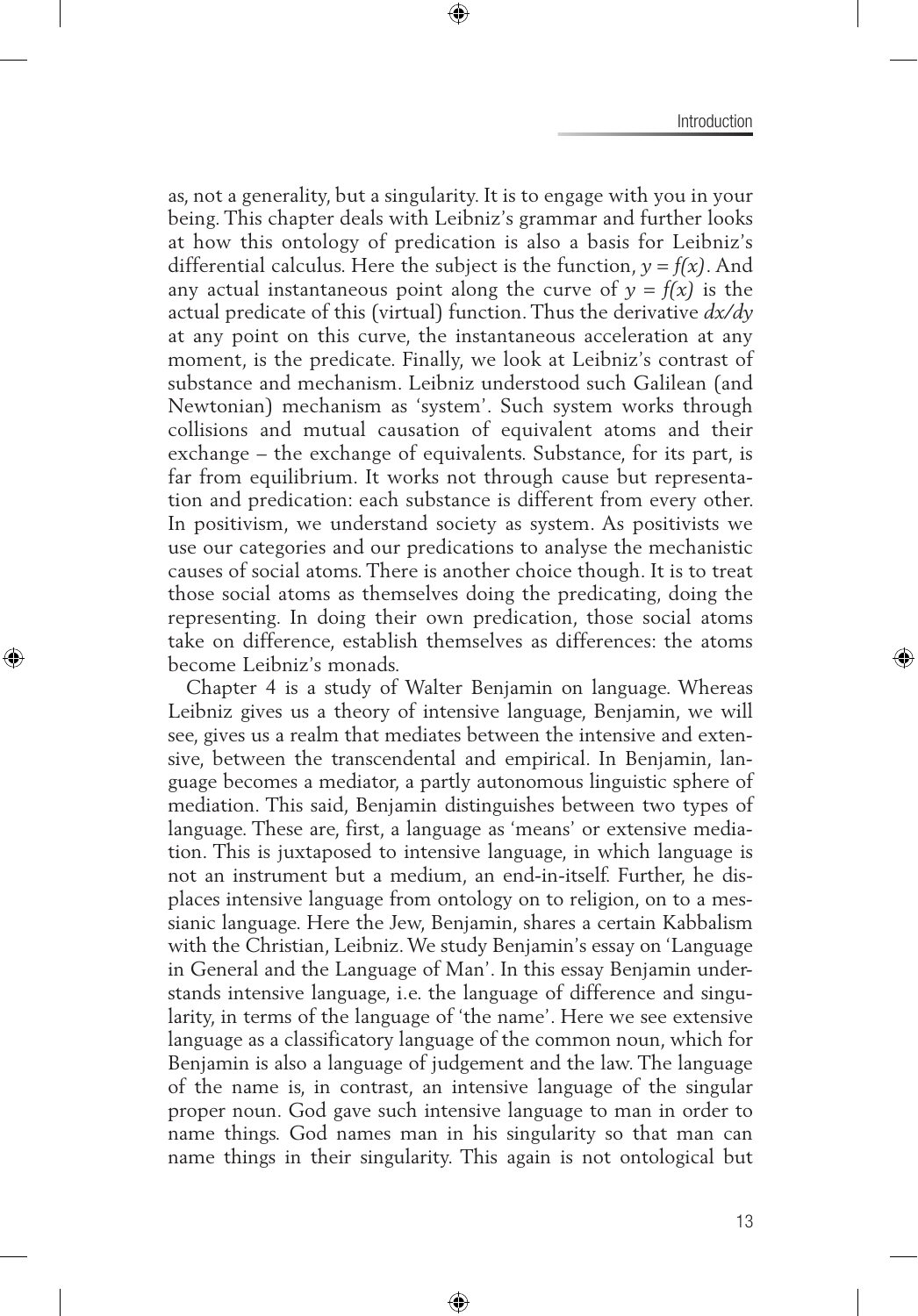as, not a generality, but a singularity. It is to engage with you in your being. This chapter deals with Leibniz's grammar and further looks at how this ontology of predication is also a basis for Leibniz's differential calculus. Here the subject is the function,  $v = f(x)$ . And any actual instantaneous point along the curve of  $y = f(x)$  is the actual predicate of this (virtual) function. Thus the derivative *dx/dy* at any point on this curve, the instantaneous acceleration at any moment, is the predicate. Finally, we look at Leibniz's contrast of substance and mechanism. Leibniz understood such Galilean (and Newtonian) mechanism as 'system'. Such system works through collisions and mutual causation of equivalent atoms and their exchange – the exchange of equivalents. Substance, for its part, is far from equilibrium. It works not through cause but representation and predication: each substance is different from every other. In positivism, we understand society as system. As positivists we use our categories and our predications to analyse the mechanistic causes of social atoms. There is another choice though. It is to treat those social atoms as themselves doing the predicating, doing the representing. In doing their own predication, those social atoms take on difference, establish themselves as differences: the atoms become Leibniz's monads.

⊕

⊕

Chapter 4 is a study of Walter Benjamin on language. Whereas Leibniz gives us a theory of intensive language, Benjamin, we will see, gives us a realm that mediates between the intensive and extensive, between the transcendental and empirical. In Benjamin, language becomes a mediator, a partly autonomous linguistic sphere of mediation. This said, Benjamin distinguishes between two types of language. These are, first, a language as 'means' or extensive mediation. This is juxtaposed to intensive language, in which language is not an instrument but a medium, an end-in-itself. Further, he displaces intensive language from ontology on to religion, on to a messianic language. Here the Jew, Benjamin, shares a certain Kabbalism with the Christian, Leibniz. We study Benjamin's essay on 'Language in General and the Language of Man'. In this essay Benjamin understands intensive language, i.e. the language of difference and singularity, in terms of the language of 'the name'. Here we see extensive language as a classificatory language of the common noun, which for Benjamin is also a language of judgement and the law. The language of the name is, in contrast, an intensive language of the singular proper noun. God gave such intensive language to man in order to name things. God names man in his singularity so that man can name things in their singularity. This again is not ontological but

⊕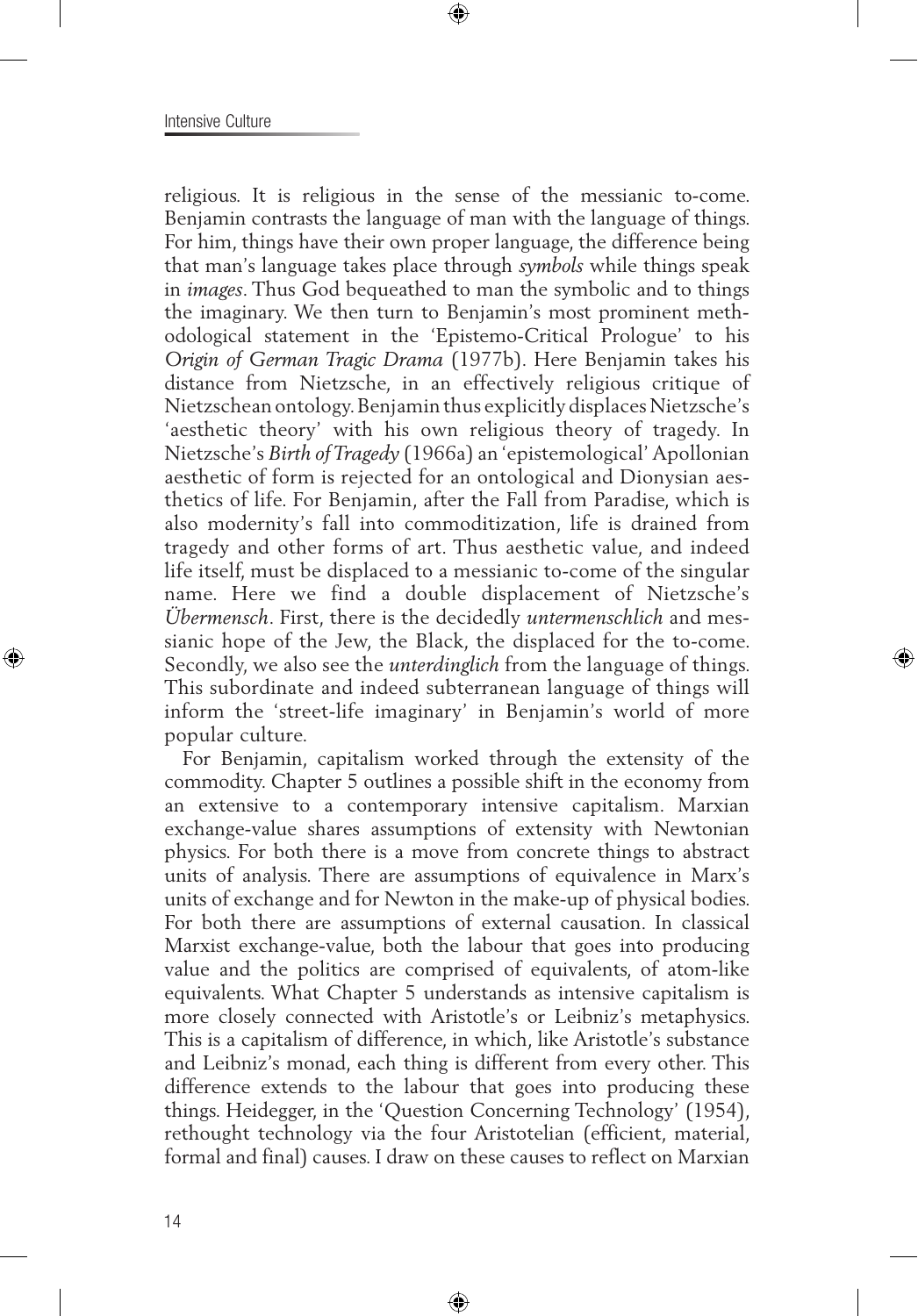religious. It is religious in the sense of the messianic to-come. Benjamin contrasts the language of man with the language of things. For him, things have their own proper language, the difference being that man's language takes place through *symbols* while things speak in *images*. Thus God bequeathed to man the symbolic and to things the imaginary. We then turn to Benjamin's most prominent methodological statement in the 'Epistemo-Critical Prologue' to his *Origin of German Tragic Drama* (1977b). Here Benjamin takes his distance from Nietzsche, in an effectively religious critique of Nietzschean ontology. Benjamin thus explicitly displaces Nietzsche's 'aesthetic theory' with his own religious theory of tragedy. In Nietzsche's *Birth of Tragedy* (1966a) an 'epistemological' Apollonian aesthetic of form is rejected for an ontological and Dionysian aesthetics of life. For Benjamin, after the Fall from Paradise, which is also modernity's fall into commoditization, life is drained from tragedy and other forms of art. Thus aesthetic value, and indeed life itself, must be displaced to a messianic to-come of the singular name. Here we find a double displacement of Nietzsche's *Übermensch*. First, there is the decidedly *untermenschlich* and messianic hope of the Jew, the Black, the displaced for the to-come. Secondly, we also see the *unterdinglich* from the language of things. This subordinate and indeed subterranean language of things will inform the 'street-life imaginary' in Benjamin's world of more popular culture.

◈

⊕

For Benjamin, capitalism worked through the extensity of the commodity. Chapter 5 outlines a possible shift in the economy from an extensive to a contemporary intensive capitalism. Marxian exchange-value shares assumptions of extensity with Newtonian physics. For both there is a move from concrete things to abstract units of analysis. There are assumptions of equivalence in Marx's units of exchange and for Newton in the make-up of physical bodies. For both there are assumptions of external causation. In classical Marxist exchange-value, both the labour that goes into producing value and the politics are comprised of equivalents, of atom-like equivalents. What Chapter 5 understands as intensive capitalism is more closely connected with Aristotle's or Leibniz's metaphysics. This is a capitalism of difference, in which, like Aristotle's substance and Leibniz's monad, each thing is different from every other. This difference extends to the labour that goes into producing these things. Heidegger, in the 'Question Concerning Technology' (1954), rethought technology via the four Aristotelian (efficient, material, formal and final) causes. I draw on these causes to reflect on Marxian

⊕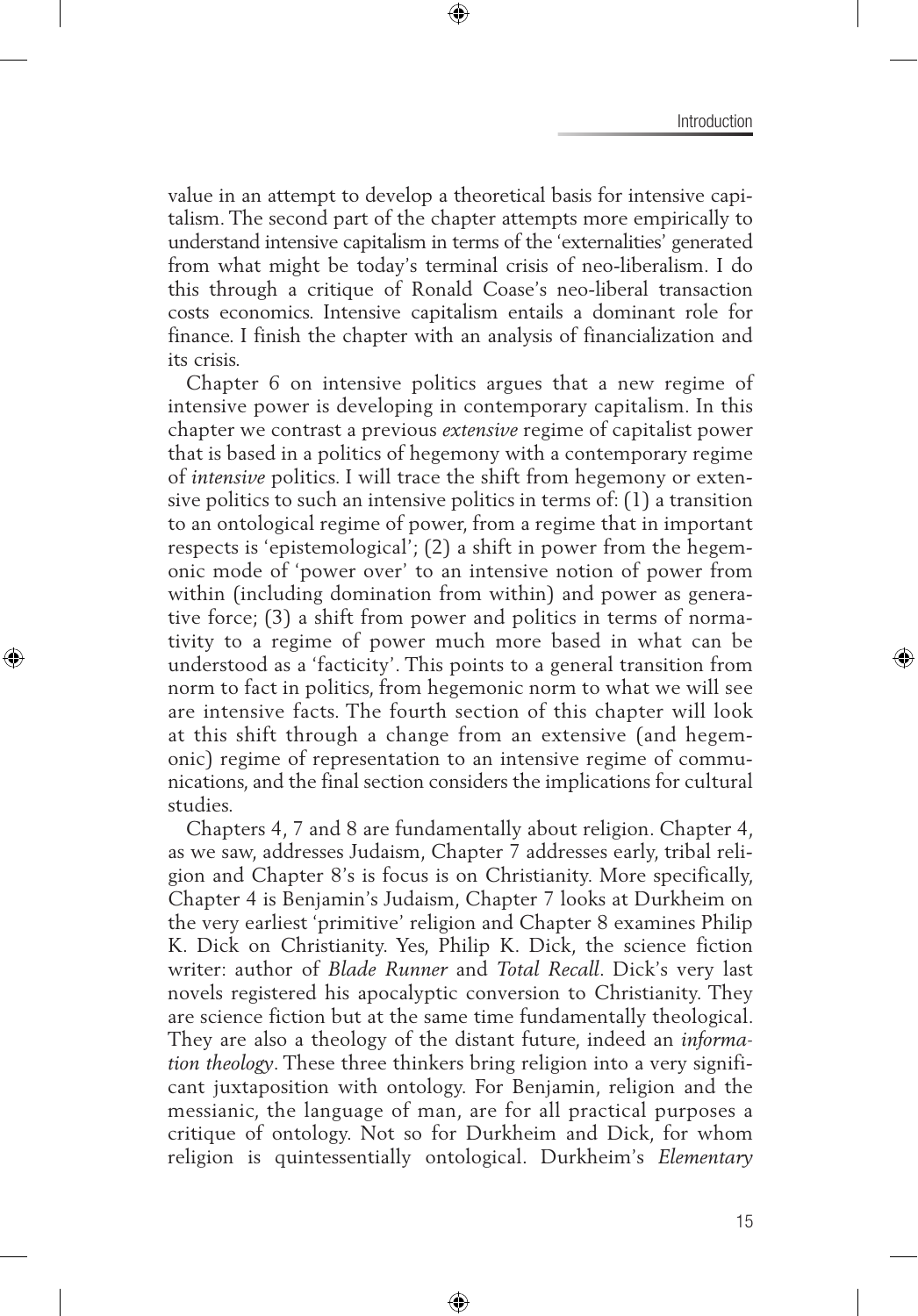value in an attempt to develop a theoretical basis for intensive capitalism. The second part of the chapter attempts more empirically to understand intensive capitalism in terms of the 'externalities' generated from what might be today's terminal crisis of neo-liberalism. I do this through a critique of Ronald Coase's neo-liberal transaction costs economics. Intensive capitalism entails a dominant role for finance. I finish the chapter with an analysis of financialization and its crisis.

⊕

Chapter 6 on intensive politics argues that a new regime of intensive power is developing in contemporary capitalism. In this chapter we contrast a previous *extensive* regime of capitalist power that is based in a politics of hegemony with a contemporary regime of *intensive* politics. I will trace the shift from hegemony or extensive politics to such an intensive politics in terms of: (1) a transition to an ontological regime of power, from a regime that in important respects is 'epistemological'; (2) a shift in power from the hegemonic mode of 'power over' to an intensive notion of power from within (including domination from within) and power as generative force; (3) a shift from power and politics in terms of normativity to a regime of power much more based in what can be understood as a 'facticity'. This points to a general transition from norm to fact in politics, from hegemonic norm to what we will see are intensive facts. The fourth section of this chapter will look at this shift through a change from an extensive (and hegemonic) regime of representation to an intensive regime of communications, and the final section considers the implications for cultural studies.

⊕

Chapters 4, 7 and 8 are fundamentally about religion. Chapter 4, as we saw, addresses Judaism, Chapter 7 addresses early, tribal religion and Chapter 8's is focus is on Christianity. More specifically, Chapter 4 is Benjamin's Judaism, Chapter 7 looks at Durkheim on the very earliest 'primitive' religion and Chapter 8 examines Philip K. Dick on Christianity. Yes, Philip K. Dick, the science fiction writer: author of *Blade Runner* and *Total Recall*. Dick's very last novels registered his apocalyptic conversion to Christianity. They are science fiction but at the same time fundamentally theological. They are also a theology of the distant future, indeed an *information theology*. These three thinkers bring religion into a very significant juxtaposition with ontology. For Benjamin, religion and the messianic, the language of man, are for all practical purposes a critique of ontology. Not so for Durkheim and Dick, for whom religion is quintessentially ontological. Durkheim's *Elementary* 

⊕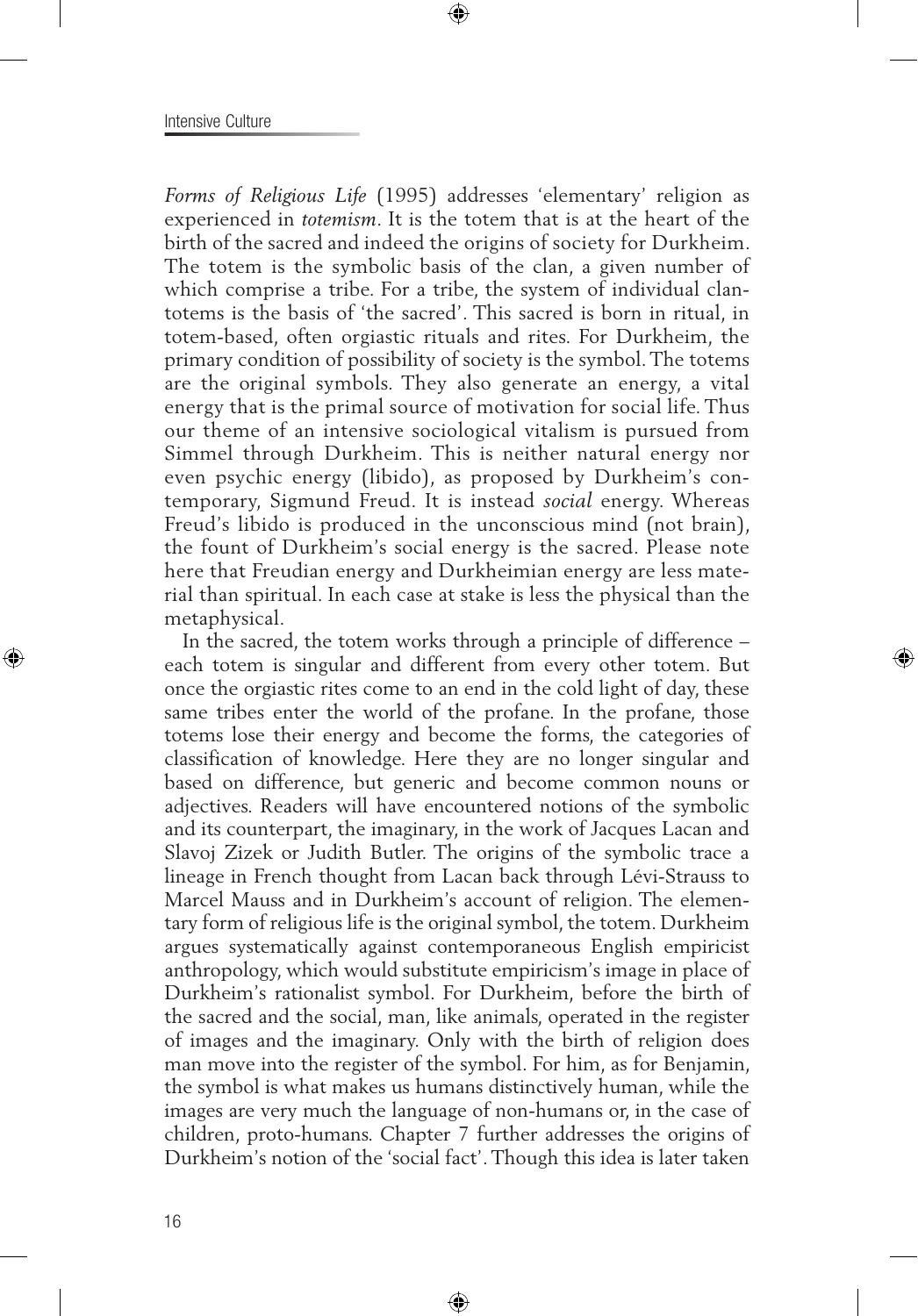Intensive Culture

*Forms of Religious Life* (1995) addresses 'elementary' religion as experienced in *totemism*. It is the totem that is at the heart of the birth of the sacred and indeed the origins of society for Durkheim. The totem is the symbolic basis of the clan, a given number of which comprise a tribe. For a tribe, the system of individual clantotems is the basis of 'the sacred'. This sacred is born in ritual, in totem-based, often orgiastic rituals and rites. For Durkheim, the primary condition of possibility of society is the symbol. The totems are the original symbols. They also generate an energy, a vital energy that is the primal source of motivation for social life. Thus our theme of an intensive sociological vitalism is pursued from Simmel through Durkheim. This is neither natural energy nor even psychic energy (libido), as proposed by Durkheim's contemporary, Sigmund Freud. It is instead *social* energy. Whereas Freud's libido is produced in the unconscious mind (not brain), the fount of Durkheim's social energy is the sacred. Please note here that Freudian energy and Durkheimian energy are less material than spiritual. In each case at stake is less the physical than the metaphysical.

◈

⊕

In the sacred, the totem works through a principle of difference – each totem is singular and different from every other totem. But once the orgiastic rites come to an end in the cold light of day, these same tribes enter the world of the profane. In the profane, those totems lose their energy and become the forms, the categories of classification of knowledge. Here they are no longer singular and based on difference, but generic and become common nouns or adjectives. Readers will have encountered notions of the symbolic and its counterpart, the imaginary, in the work of Jacques Lacan and Slavoj Zizek or Judith Butler. The origins of the symbolic trace a lineage in French thought from Lacan back through Lévi-Strauss to Marcel Mauss and in Durkheim's account of religion. The elementary form of religious life is the original symbol, the totem. Durkheim argues systematically against contemporaneous English empiricist anthropology, which would substitute empiricism's image in place of Durkheim's rationalist symbol. For Durkheim, before the birth of the sacred and the social, man, like animals, operated in the register of images and the imaginary. Only with the birth of religion does man move into the register of the symbol. For him, as for Benjamin, the symbol is what makes us humans distinctively human, while the images are very much the language of non-humans or, in the case of children, proto-humans. Chapter 7 further addresses the origins of Durkheim's notion of the 'social fact'. Though this idea is later taken

⊕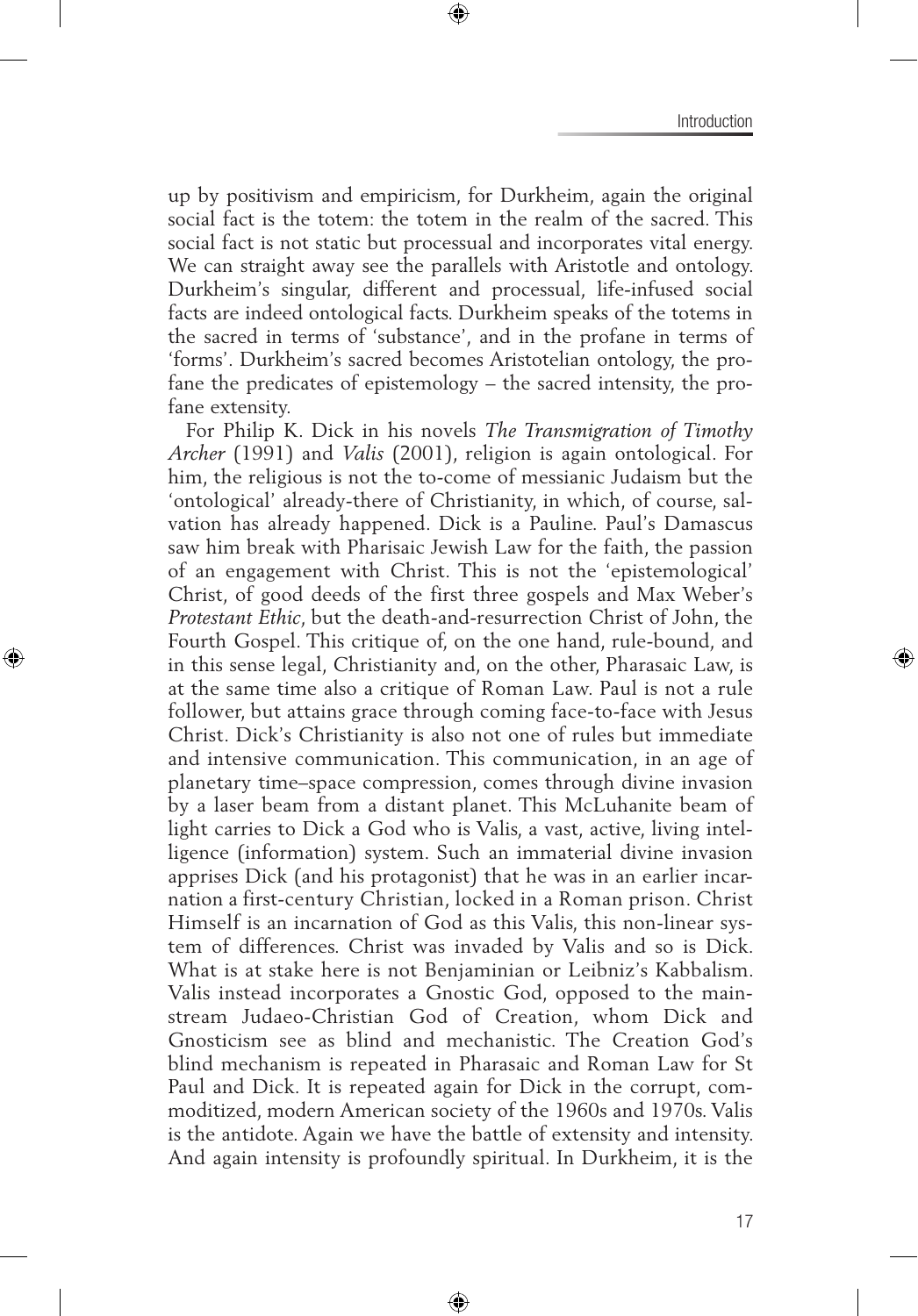up by positivism and empiricism, for Durkheim, again the original social fact is the totem: the totem in the realm of the sacred. This social fact is not static but processual and incorporates vital energy. We can straight away see the parallels with Aristotle and ontology. Durkheim's singular, different and processual, life-infused social facts are indeed ontological facts. Durkheim speaks of the totems in the sacred in terms of 'substance', and in the profane in terms of 'forms'. Durkheim's sacred becomes Aristotelian ontology, the profane the predicates of epistemology – the sacred intensity, the profane extensity.

⊕

For Philip K. Dick in his novels *The Transmigration of Timothy Archer* (1991) and *Valis* (2001), religion is again ontological. For him, the religious is not the to-come of messianic Judaism but the 'ontological' already-there of Christianity, in which, of course, salvation has already happened. Dick is a Pauline. Paul's Damascus saw him break with Pharisaic Jewish Law for the faith, the passion of an engagement with Christ. This is not the 'epistemological' Christ, of good deeds of the first three gospels and Max Weber's *Protestant Ethic*, but the death-and-resurrection Christ of John, the Fourth Gospel. This critique of, on the one hand, rule-bound, and in this sense legal, Christianity and, on the other, Pharasaic Law, is at the same time also a critique of Roman Law. Paul is not a rule follower, but attains grace through coming face-to-face with Jesus Christ. Dick's Christianity is also not one of rules but immediate and intensive communication. This communication, in an age of planetary time–space compression, comes through divine invasion by a laser beam from a distant planet. This McLuhanite beam of light carries to Dick a God who is Valis, a vast, active, living intelligence (information) system. Such an immaterial divine invasion apprises Dick (and his protagonist) that he was in an earlier incarnation a first-century Christian, locked in a Roman prison. Christ Himself is an incarnation of God as this Valis, this non-linear system of differences. Christ was invaded by Valis and so is Dick. What is at stake here is not Benjaminian or Leibniz's Kabbalism. Valis instead incorporates a Gnostic God, opposed to the mainstream Judaeo-Christian God of Creation, whom Dick and Gnosticism see as blind and mechanistic. The Creation God's blind mechanism is repeated in Pharasaic and Roman Law for St Paul and Dick. It is repeated again for Dick in the corrupt, commoditized, modern American society of the 1960s and 1970s. Valis is the antidote. Again we have the battle of extensity and intensity. And again intensity is profoundly spiritual. In Durkheim, it is the

⊕

⊕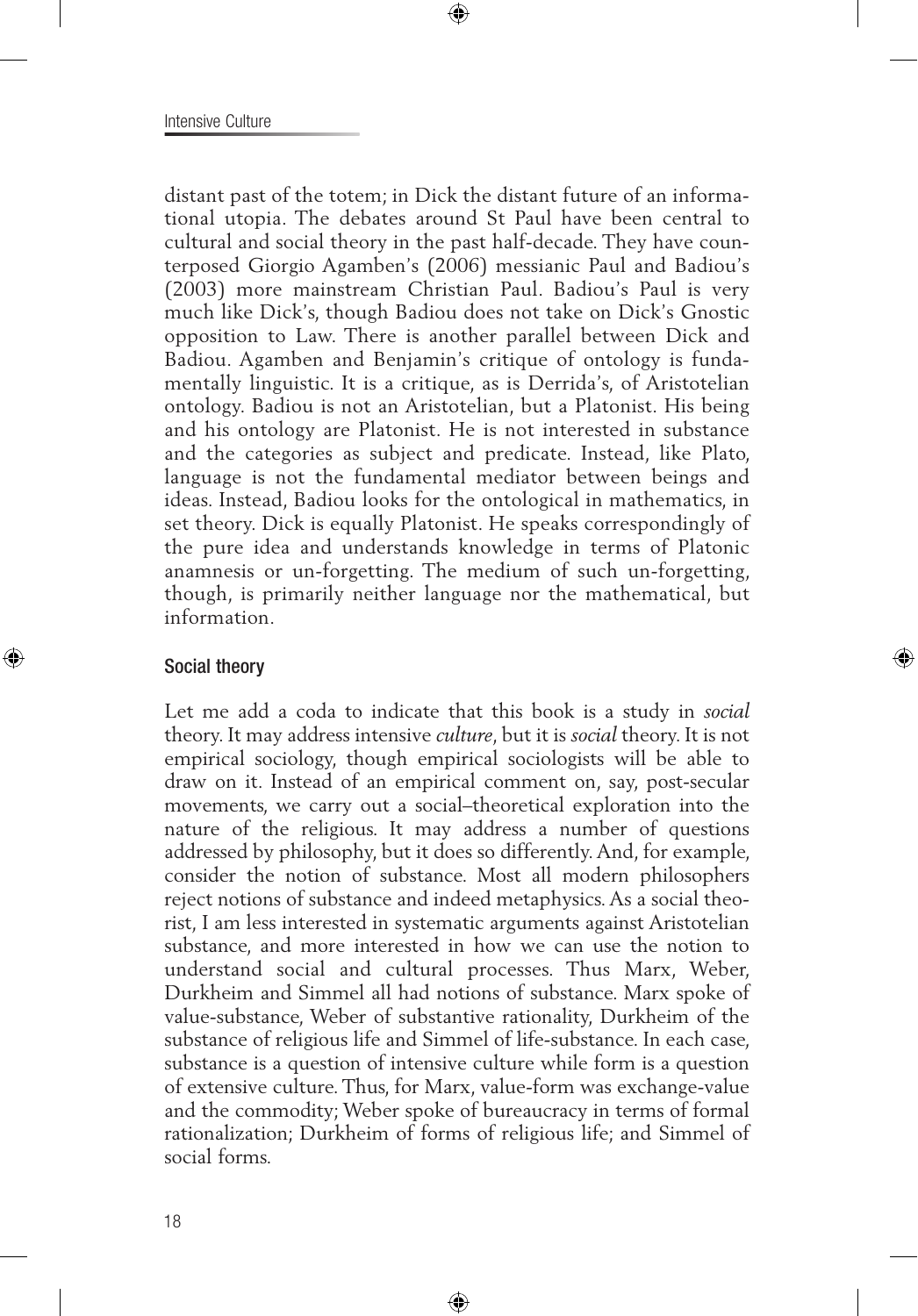distant past of the totem; in Dick the distant future of an informational utopia. The debates around St Paul have been central to cultural and social theory in the past half-decade. They have counterposed Giorgio Agamben's (2006) messianic Paul and Badiou's (2003) more mainstream Christian Paul. Badiou's Paul is very much like Dick's, though Badiou does not take on Dick's Gnostic opposition to Law. There is another parallel between Dick and Badiou. Agamben and Benjamin's critique of ontology is fundamentally linguistic. It is a critique, as is Derrida's, of Aristotelian ontology. Badiou is not an Aristotelian, but a Platonist. His being and his ontology are Platonist. He is not interested in substance and the categories as subject and predicate. Instead, like Plato, language is not the fundamental mediator between beings and ideas. Instead, Badiou looks for the ontological in mathematics, in set theory. Dick is equally Platonist. He speaks correspondingly of the pure idea and understands knowledge in terms of Platonic anamnesis or un-forgetting. The medium of such un-forgetting, though, is primarily neither language nor the mathematical, but information.

◈

⊕

#### Social theory

⊕

Let me add a coda to indicate that this book is a study in *social* theory. It may address intensive *culture*, but it is *social* theory. It is not empirical sociology, though empirical sociologists will be able to draw on it. Instead of an empirical comment on, say, post-secular movements, we carry out a social–theoretical exploration into the nature of the religious. It may address a number of questions addressed by philosophy, but it does so differently. And, for example, consider the notion of substance. Most all modern philosophers reject notions of substance and indeed metaphysics. As a social theorist, I am less interested in systematic arguments against Aristotelian substance, and more interested in how we can use the notion to understand social and cultural processes. Thus Marx, Weber, Durkheim and Simmel all had notions of substance. Marx spoke of value-substance, Weber of substantive rationality, Durkheim of the substance of religious life and Simmel of life-substance. In each case, substance is a question of intensive culture while form is a question of extensive culture. Thus, for Marx, value-form was exchange-value and the commodity; Weber spoke of bureaucracy in terms of formal rationalization; Durkheim of forms of religious life; and Simmel of social forms.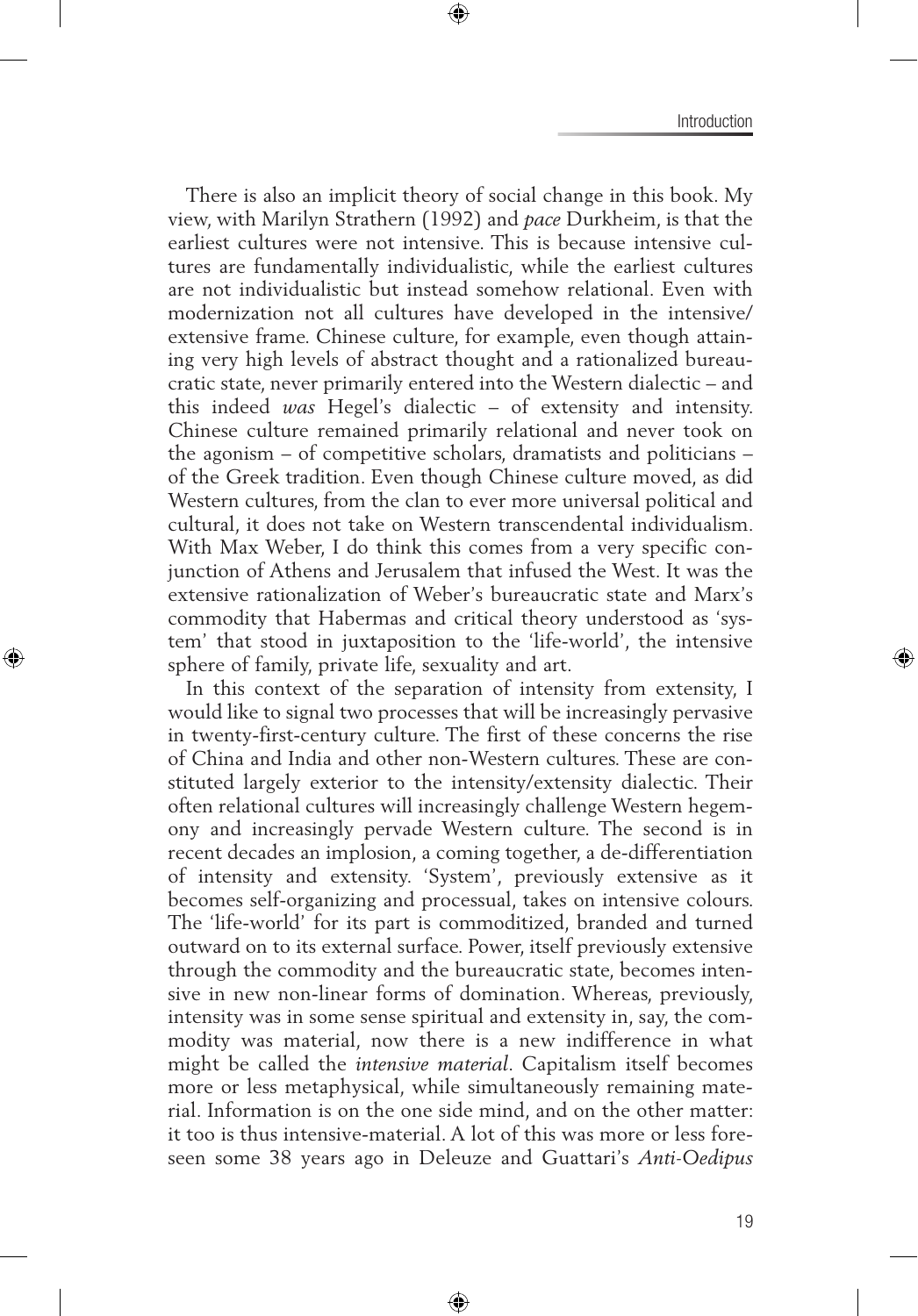There is also an implicit theory of social change in this book. My view, with Marilyn Strathern (1992) and *pace* Durkheim, is that the earliest cultures were not intensive. This is because intensive cultures are fundamentally individualistic, while the earliest cultures are not individualistic but instead somehow relational. Even with modernization not all cultures have developed in the intensive/ extensive frame. Chinese culture, for example, even though attaining very high levels of abstract thought and a rationalized bureaucratic state, never primarily entered into the Western dialectic – and this indeed *was* Hegel's dialectic – of extensity and intensity. Chinese culture remained primarily relational and never took on the agonism – of competitive scholars, dramatists and politicians – of the Greek tradition. Even though Chinese culture moved, as did Western cultures, from the clan to ever more universal political and cultural, it does not take on Western transcendental individualism. With Max Weber, I do think this comes from a very specific conjunction of Athens and Jerusalem that infused the West. It was the extensive rationalization of Weber's bureaucratic state and Marx's commodity that Habermas and critical theory understood as 'system' that stood in juxtaposition to the 'life-world', the intensive sphere of family, private life, sexuality and art.

⊕

⊕

In this context of the separation of intensity from extensity, I would like to signal two processes that will be increasingly pervasive in twenty-first-century culture. The first of these concerns the rise of China and India and other non-Western cultures. These are constituted largely exterior to the intensity/extensity dialectic. Their often relational cultures will increasingly challenge Western hegemony and increasingly pervade Western culture. The second is in recent decades an implosion, a coming together, a de-differentiation of intensity and extensity. 'System', previously extensive as it becomes self-organizing and processual, takes on intensive colours. The 'life-world' for its part is commoditized, branded and turned outward on to its external surface. Power, itself previously extensive through the commodity and the bureaucratic state, becomes intensive in new non-linear forms of domination. Whereas, previously, intensity was in some sense spiritual and extensity in, say, the commodity was material, now there is a new indifference in what might be called the *intensive material*. Capitalism itself becomes more or less metaphysical, while simultaneously remaining material. Information is on the one side mind, and on the other matter: it too is thus intensive-material. A lot of this was more or less foreseen some 38 years ago in Deleuze and Guattari's *Anti-Oedipus*

⊕